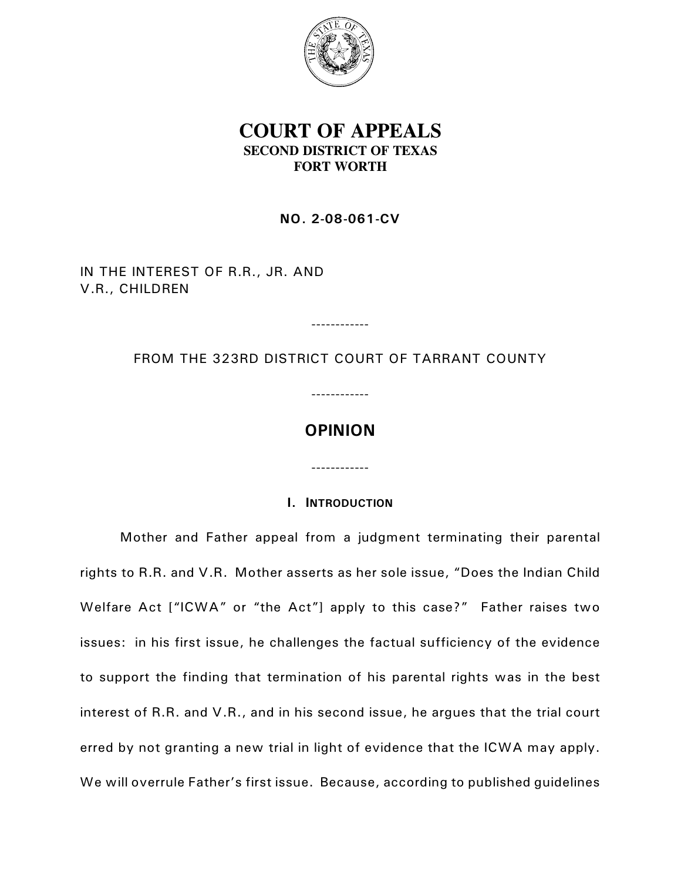

# **COURT OF APPEALS SECOND DISTRICT OF TEXAS FORT WORTH**

**NO. 2-08-061-CV**

IN THE INTEREST OF R.R., JR. AND V.R., CHILDREN

FROM THE 323RD DISTRICT COURT OF TARRANT COUNTY

------------

------------

**OPINION**

# **I. INTRODUCTION**

------------

Mother and Father appeal from a judgment terminating their parental rights to R.R. and V.R. Mother asserts as her sole issue, "Does the Indian Child Welfare Act ["ICWA" or "the Act"] apply to this case?" Father raises two issues: in his first issue, he challenges the factual sufficiency of the evidence to support the finding that termination of his parental rights was in the best interest of R.R. and V.R., and in his second issue, he argues that the trial court erred by not granting a new trial in light of evidence that the ICWA may apply. We will overrule Father's first issue. Because, according to published guidelines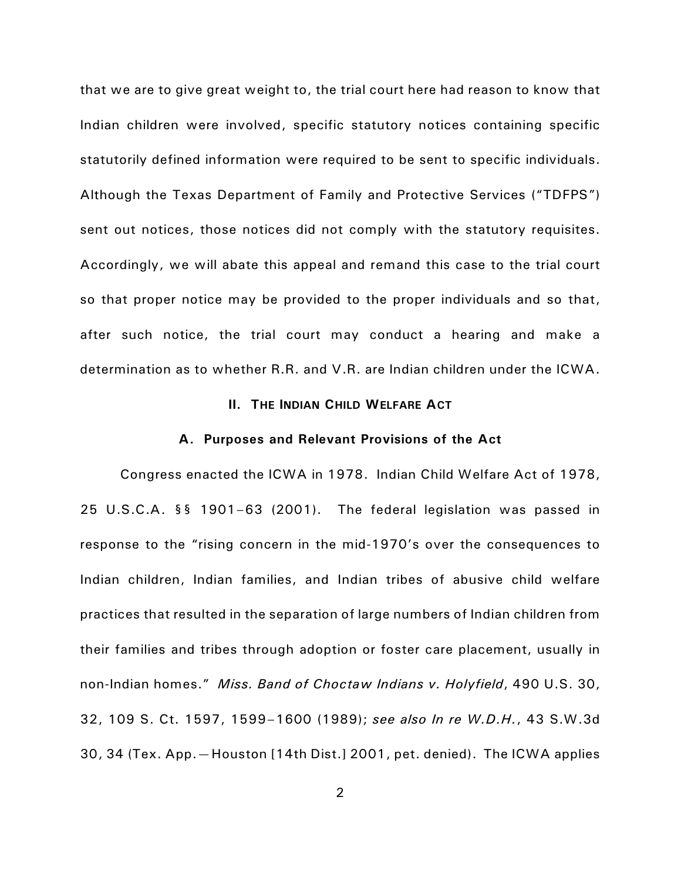that we are to give great weight to, the trial court here had reason to know that Indian children were involved, specific statutory notices containing specific statutorily defined information were required to be sent to specific individuals. Although the Texas Department of Family and Protective Services ("TDFPS") sent out notices, those notices did not comply with the statutory requisites. Accordingly, we will abate this appeal and remand this case to the trial court so that proper notice may be provided to the proper individuals and so that, after such notice, the trial court may conduct a hearing and make a determination as to whether R.R. and V.R. are Indian children under the ICWA.

# **II. THE INDIAN CHILD WELFARE ACT**

### **A. Purposes and Relevant Provisions of the Act**

Congress enacted the ICWA in 1978. Indian Child Welfare Act of 1978, 25 U.S.C.A. §§ 1901–63 (2001). The federal legislation was passed in response to the "rising concern in the mid-1970's over the consequences to Indian children, Indian families, and Indian tribes of abusive child welfare practices that resulted in the separation of large numbers of Indian children from their families and tribes through adoption or foster care placement, usually in non-Indian homes." *Miss. Band of Choctaw Indians v. Holyfield*, 490 U.S. 30, 32, 109 S. Ct. 1597, 1599–1600 (1989); *see also In re W.D.H.*, 43 S.W.3d 30, 34 (Tex. App.—Houston [14th Dist.] 2001, pet. denied). The ICWA applies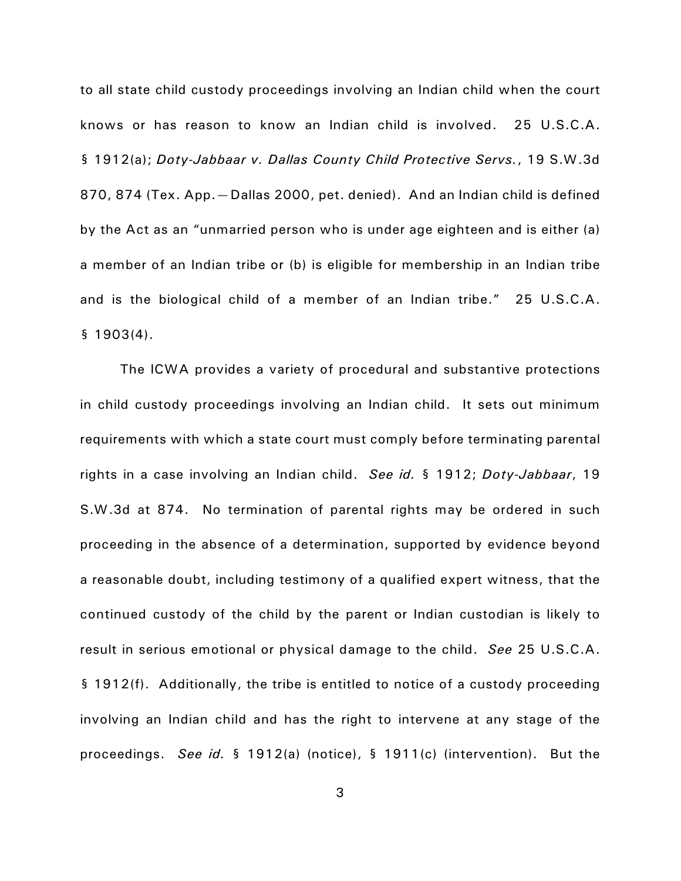to all state child custody proceedings involving an Indian child when the court knows or has reason to know an Indian child is involved. 25 U.S.C.A. § 1912(a); *Doty-Jabbaar v. Dallas County Child Protective Servs.*, 19 S.W.3d 870, 874 (Tex. App.—Dallas 2000, pet. denied). And an Indian child is defined by the Act as an "unmarried person who is under age eighteen and is either (a) a member of an Indian tribe or (b) is eligible for membership in an Indian tribe and is the biological child of a member of an Indian tribe." 25 U.S.C.A. § 1903(4).

The ICWA provides a variety of procedural and substantive protections in child custody proceedings involving an Indian child. It sets out minimum requirements with which a state court must comply before terminating parental rights in a case involving an Indian child. *See id.* § 1912; *Doty-Jabbaar*, 19 S.W.3d at 874. No termination of parental rights may be ordered in such proceeding in the absence of a determination, supported by evidence beyond a reasonable doubt, including testimony of a qualified expert witness, that the continued custody of the child by the parent or Indian custodian is likely to result in serious emotional or physical damage to the child. *See* 25 U.S.C.A. § 1912(f). Additionally, the tribe is entitled to notice of a custody proceeding involving an Indian child and has the right to intervene at any stage of the proceedings. *See id.* § 1912(a) (notice), § 1911(c) (intervention). But the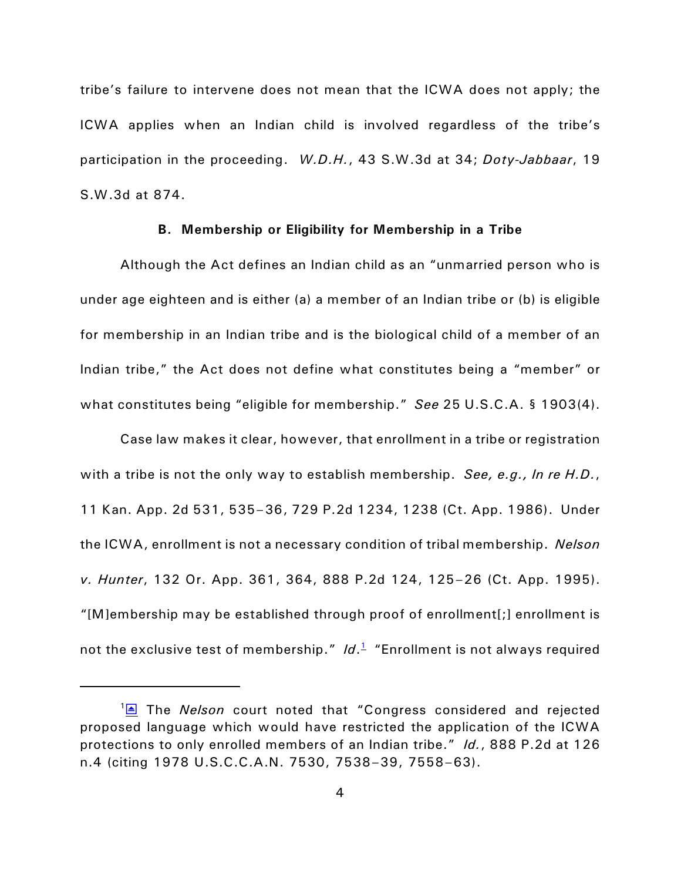tribe's failure to intervene does not mean that the ICWA does not apply; the ICWA applies when an Indian child is involved regardless of the tribe's participation in the proceeding. *W.D.H.*, 43 S.W.3d at 34; *Doty-Jabbaar*, 19 S.W.3d at 874.

### **B. Membership or Eligibility for Membership in a Tribe**

Although the Act defines an Indian child as an "unmarried person who is under age eighteen and is either (a) a member of an Indian tribe or (b) is eligible for membership in an Indian tribe and is the biological child of a member of an Indian tribe," the Act does not define what constitutes being a "member" or what constitutes being "eligible for membership." *See* 25 U.S.C.A. § 1903(4).

Case law makes it clear, however, that enrollment in a tribe or registration with a tribe is not the only way to establish membership. *See, e.g., In re H.D.*, 11 Kan. App. 2d 531, 535–36, 729 P.2d 1234, 1238 (Ct. App. 1986). Under the ICWA, enrollment is not a necessary condition of tribal membership. *Nelson v. Hunter*, 132 Or. App. 361, 364, 888 P.2d 124, 125–26 (Ct. App. 1995). "[M]embership may be established through proof of enrollment[;] enrollment is not the exclusive test of membership." *Id*. [1](#page-3-1) "Enrollment is not always required

<span id="page-3-1"></span><span id="page-3-0"></span><sup>&</sup>lt;sup>1</sup><del>△</del> The *Nelson* court noted that "Congress considered and rejected proposed language which would have restricted the application of the ICWA protections to only enrolled members of an Indian tribe." *Id.*, 888 P.2d at 126 n.4 (citing 1978 U.S.C.C.A.N. 7530, 7538–39, 7558–63).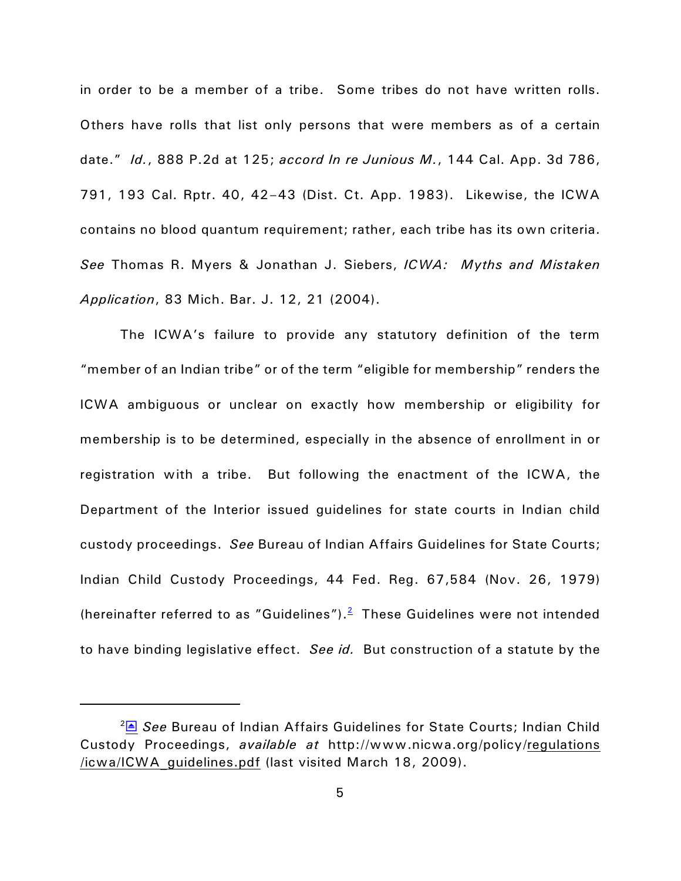in order to be a member of a tribe. Some tribes do not have written rolls. Others have rolls that list only persons that were members as of a certain date." *Id.*, 888 P.2d at 125; *accord In re Junious M.*, 144 Cal. App. 3d 786, 791, 193 Cal. Rptr. 40, 42–43 (Dist. Ct. App. 1983). Likewise, the ICWA contains no blood quantum requirement; rather, each tribe has its own criteria. *See* Thomas R. Myers & Jonathan J. Siebers, *ICWA: Myths and Mistaken Application*, 83 Mich. Bar. J. 12, 21 (2004).

The ICWA's failure to provide any statutory definition of the term "member of an Indian tribe" or of the term "eligible for membership" renders the ICWA ambiguous or unclear on exactly how membership or eligibility for membership is to be determined, especially in the absence of enrollment in or registration with a tribe. But following the enactment of the ICWA, the Department of the Interior issued guidelines for state courts in Indian child custody proceedings. *See* Bureau of Indian Affairs Guidelines for State Courts; Indian Child Custody Proceedings, 44 Fed. Reg. 67,584 (Nov. 26, 1979) (hereinafter referred to as "Guidelines"). $<sup>2</sup>$  $<sup>2</sup>$  $<sup>2</sup>$  These Guidelines were not intended</sup> to have binding legislative effect. *See id.* But construction of a statute by the

<span id="page-4-1"></span><span id="page-4-0"></span><sup>&</sup>lt;sup>2</sup><sup>■</sup> See Bureau of Indian Affairs Guidelines for State Courts; Indian Child Custody Proceedings, *available at* http://www.nicwa.org/policy/regulations /icwa/ICWA\_guidelines.pdf (last visited March 18, 2009).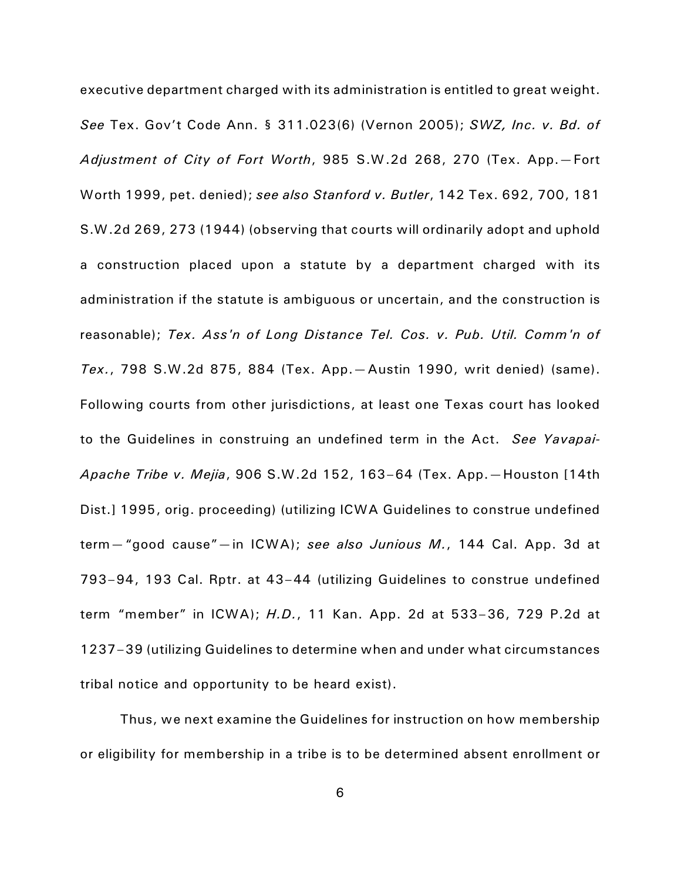executive department charged with its administration is entitled to great weight. *See* Tex. Gov't Code Ann. § 311.023(6) (Vernon 2005); *SWZ, Inc. v. Bd. of Adjustment of City of Fort Worth*, 985 S.W.2d 268, 270 (Tex. App.—Fort Worth 1999, pet. denied); *see also Stanford v. Butler*, 142 Tex. 692, 700, 181 S.W.2d 269, 273 (1944) (observing that courts will ordinarily adopt and uphold a construction placed upon a statute by a department charged with its administration if the statute is ambiguous or uncertain, and the construction is reasonable); *Tex. Ass'n of Long Distance Tel. Cos. v. Pub. Util. Comm'n of Tex.*, 798 S.W.2d 875, 884 (Tex. App.—Austin 1990, writ denied) (same). Following courts from other jurisdictions, at least one Texas court has looked to the Guidelines in construing an undefined term in the Act. *See Yavapai-Apache Tribe v. Mejia*, 906 S.W.2d 152, 163–64 (Tex. App.—Houston [14th Dist.] 1995, orig. proceeding) (utilizing ICWA Guidelines to construe undefined term—"good cause"—in ICWA); *see also Junious M.*, 144 Cal. App. 3d at 793–94, 193 Cal. Rptr. at 43–44 (utilizing Guidelines to construe undefined term "member" in ICWA); *H.D.*, 11 Kan. App. 2d at 533–36, 729 P.2d at 1237–39 (utilizing Guidelines to determine when and under what circumstances tribal notice and opportunity to be heard exist).

Thus, we next examine the Guidelines for instruction on how membership or eligibility for membership in a tribe is to be determined absent enrollment or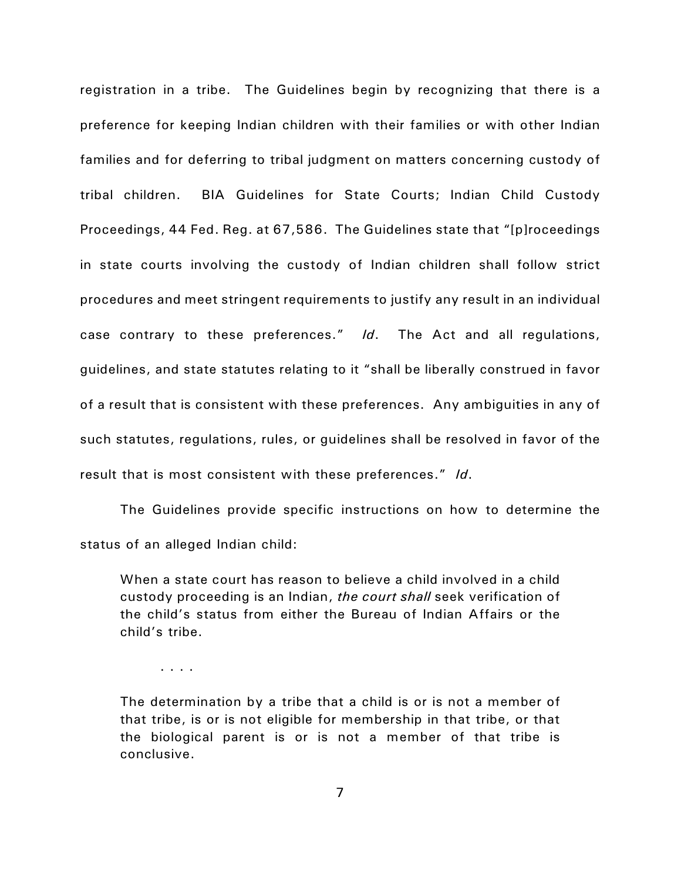registration in a tribe. The Guidelines begin by recognizing that there is a preference for keeping Indian children with their families or with other Indian families and for deferring to tribal judgment on matters concerning custody of tribal children. BIA Guidelines for State Courts; Indian Child Custody Proceedings, 44 Fed. Reg. at 67,586. The Guidelines state that "[p]roceedings in state courts involving the custody of Indian children shall follow strict procedures and meet stringent requirements to justify any result in an individual case contrary to these preferences." *Id*. The Act and all regulations, guidelines, and state statutes relating to it "shall be liberally construed in favor of a result that is consistent with these preferences. Any ambiguities in any of such statutes, regulations, rules, or guidelines shall be resolved in favor of the result that is most consistent with these preferences." *Id*.

The Guidelines provide specific instructions on how to determine the status of an alleged Indian child:

When a state court has reason to believe a child involved in a child custody proceeding is an Indian, *the court shall* seek verification of the child's status from either the Bureau of Indian Affairs or the child's tribe.

. . . .

The determination by a tribe that a child is or is not a member of that tribe, is or is not eligible for membership in that tribe, or that the biological parent is or is not a member of that tribe is conclusive.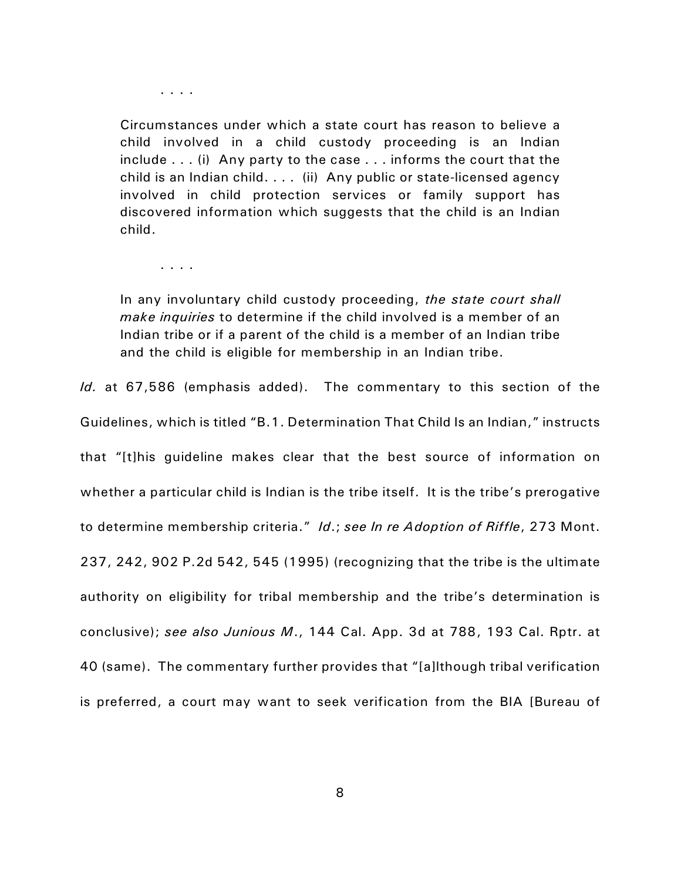. . . .

Circumstances under which a state court has reason to believe a child involved in a child custody proceeding is an Indian include . . . (i) Any party to the case . . . informs the court that the child is an Indian child. . . . (ii) Any public or state-licensed agency involved in child protection services or family support has discovered information which suggests that the child is an Indian child.

. . . .

In any involuntary child custody proceeding, *the state court shall make inquiries* to determine if the child involved is a member of an Indian tribe or if a parent of the child is a member of an Indian tribe and the child is eligible for membership in an Indian tribe.

*Id.* at 67,586 (emphasis added). The commentary to this section of the Guidelines, which is titled "B.1. Determination That Child Is an Indian," instructs that "[t]his guideline makes clear that the best source of information on whether a particular child is Indian is the tribe itself. It is the tribe's prerogative to determine membership criteria." *Id*.; *see In re Adoption of Riffle*, 273 Mont. 237, 242, 902 P.2d 542, 545 (1995) (recognizing that the tribe is the ultimate authority on eligibility for tribal membership and the tribe's determination is conclusive); *see also Junious M*., 144 Cal. App. 3d at 788, 193 Cal. Rptr. at 40 (same). The commentary further provides that "[a]lthough tribal verification is preferred, a court may want to seek verification from the BIA [Bureau of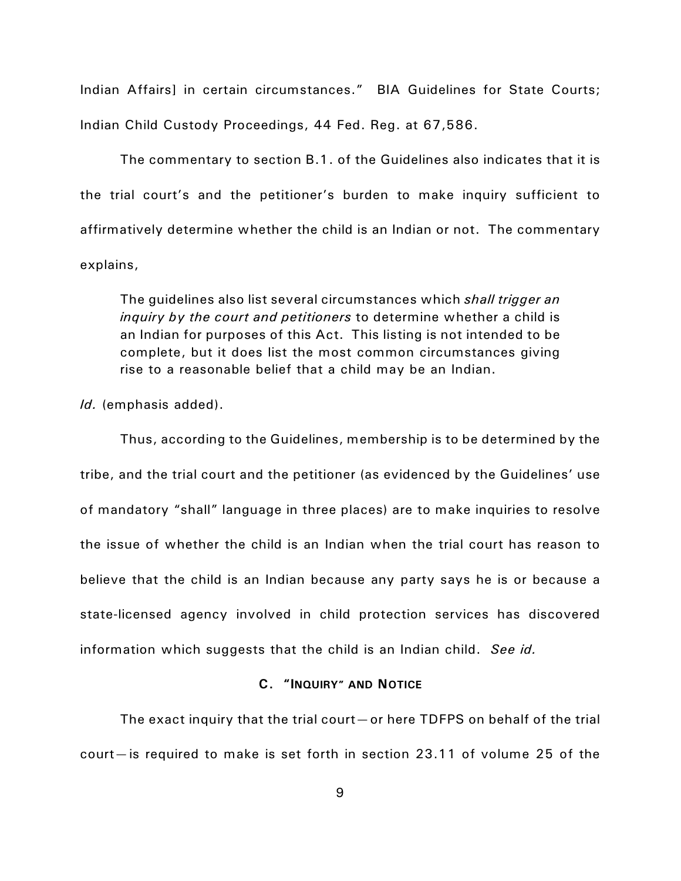Indian Affairs] in certain circumstances." BIA Guidelines for State Courts; Indian Child Custody Proceedings, 44 Fed. Reg. at 67,586.

The commentary to section B.1. of the Guidelines also indicates that it is the trial court's and the petitioner's burden to make inquiry sufficient to affirmatively determine whether the child is an Indian or not. The commentary explains,

The guidelines also list several circumstances which *shall trigger an inquiry by the court and petitioners* to determine whether a child is an Indian for purposes of this Act. This listing is not intended to be complete, but it does list the most common circumstances giving rise to a reasonable belief that a child may be an Indian.

*Id.* (emphasis added).

Thus, according to the Guidelines, membership is to be determined by the tribe, and the trial court and the petitioner (as evidenced by the Guidelines' use of mandatory "shall" language in three places) are to make inquiries to resolve the issue of whether the child is an Indian when the trial court has reason to believe that the child is an Indian because any party says he is or because a state-licensed agency involved in child protection services has discovered information which suggests that the child is an Indian child. *See id.*

# **C. "INQUIRY" AND NOTICE**

The exact inquiry that the trial court—or here TDFPS on behalf of the trial court—is required to make is set forth in section 23.11 of volume 25 of the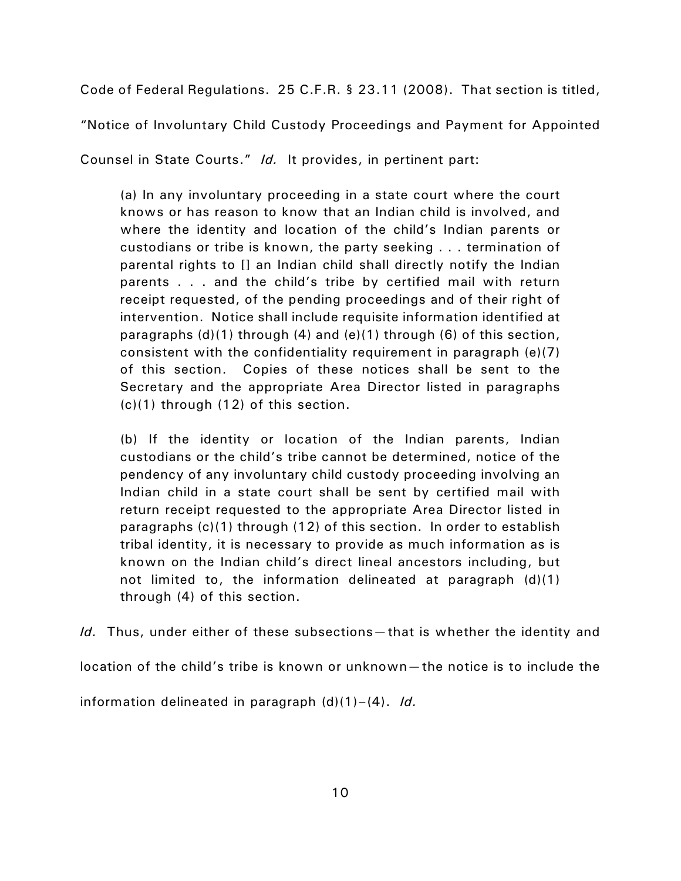Code of Federal Regulations. 25 C.F.R. § 23.11 (2008). That section is titled,

"Notice of Involuntary Child Custody Proceedings and Payment for Appointed

Counsel in State Courts." *Id.* It provides, in pertinent part:

(a) In any involuntary proceeding in a state court where the court knows or has reason to know that an Indian child is involved, and where the identity and location of the child's Indian parents or custodians or tribe is known, the party seeking . . . termination of parental rights to [] an Indian child shall directly notify the Indian parents . . . and the child's tribe by certified mail with return receipt requested, of the pending proceedings and of their right of intervention. Notice shall include requisite information identified at paragraphs  $(d)(1)$  through  $(4)$  and  $(e)(1)$  through  $(6)$  of this section, consistent with the confidentiality requirement in paragraph (e)(7) of this section. Copies of these notices shall be sent to the Secretary and the appropriate Area Director listed in paragraphs (c)(1) through (12) of this section.

(b) If the identity or location of the Indian parents, Indian custodians or the child's tribe cannot be determined, notice of the pendency of any involuntary child custody proceeding involving an Indian child in a state court shall be sent by certified mail with return receipt requested to the appropriate Area Director listed in paragraphs (c)(1) through (12) of this section. In order to establish tribal identity, it is necessary to provide as much information as is known on the Indian child's direct lineal ancestors including, but not limited to, the information delineated at paragraph (d)(1) through (4) of this section.

*Id.* Thus, under either of these subsections—that is whether the identity and

location of the child's tribe is known or unknown—the notice is to include the

information delineated in paragraph (d)(1)–(4). *Id.*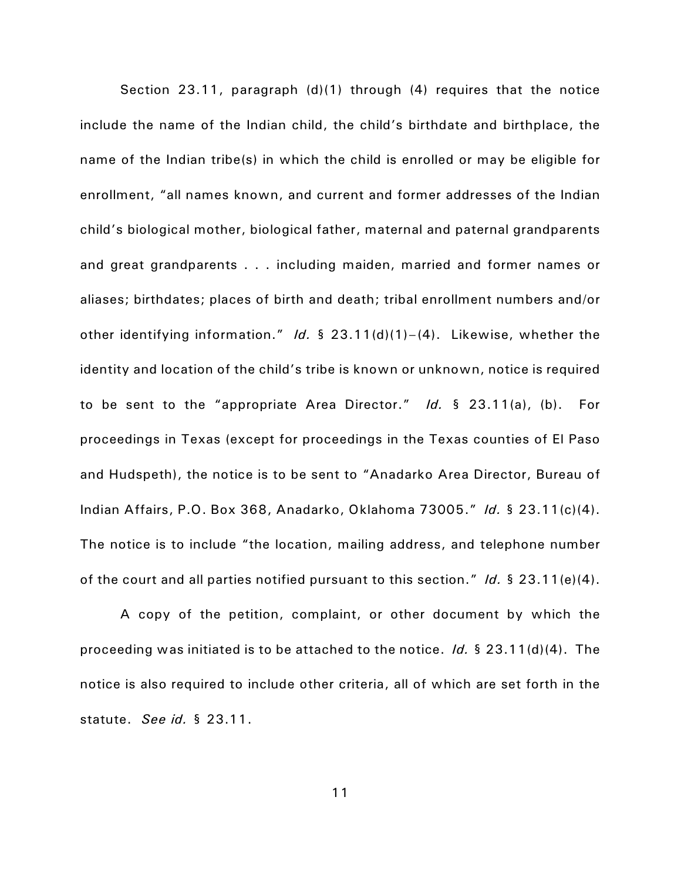Section 23.11, paragraph (d)(1) through (4) requires that the notice include the name of the Indian child, the child's birthdate and birthplace, the name of the Indian tribe(s) in which the child is enrolled or may be eligible for enrollment, "all names known, and current and former addresses of the Indian child's biological mother, biological father, maternal and paternal grandparents and great grandparents . . . including maiden, married and former names or aliases; birthdates; places of birth and death; tribal enrollment numbers and/or other identifying information." *Id.* § 23.11(d)(1)–(4). Likewise, whether the identity and location of the child's tribe is known or unknown, notice is required to be sent to the "appropriate Area Director." *Id.* § 23.11(a), (b). For proceedings in Texas (except for proceedings in the Texas counties of El Paso and Hudspeth), the notice is to be sent to "Anadarko Area Director, Bureau of Indian Affairs, P.O. Box 368, Anadarko, Oklahoma 73005." *Id.* § 23.11(c)(4). The notice is to include "the location, mailing address, and telephone number of the court and all parties notified pursuant to this section." *Id.* § 23.11(e)(4).

A copy of the petition, complaint, or other document by which the proceeding was initiated is to be attached to the notice. *Id.* § 23.11(d)(4). The notice is also required to include other criteria, all of which are set forth in the statute. *See id.* § 23.11.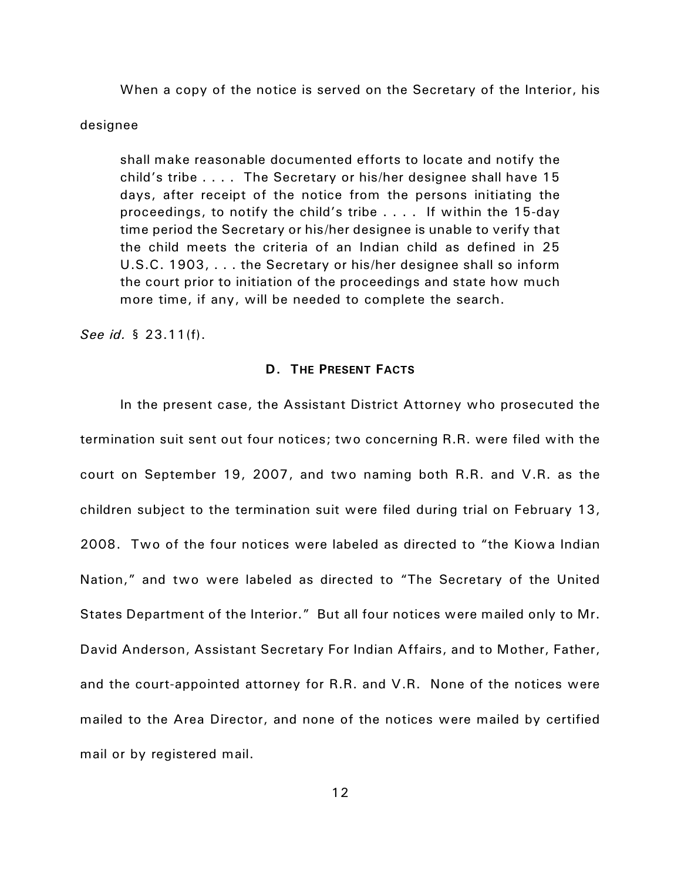When a copy of the notice is served on the Secretary of the Interior, his

#### designee

shall make reasonable documented efforts to locate and notify the child's tribe . . . . The Secretary or his/her designee shall have 15 days, after receipt of the notice from the persons initiating the proceedings, to notify the child's tribe . . . . If within the 15-day time period the Secretary or his/her designee is unable to verify that the child meets the criteria of an Indian child as defined in 25 U.S.C. 1903, . . . the Secretary or his/her designee shall so inform the court prior to initiation of the proceedings and state how much more time, if any, will be needed to complete the search.

*See id.* § 23.11(f).

## **D. THE PRESENT FACTS**

In the present case, the Assistant District Attorney who prosecuted the termination suit sent out four notices; two concerning R.R. were filed with the court on September 19, 2007, and two naming both R.R. and V.R. as the children subject to the termination suit were filed during trial on February 13, 2008. Two of the four notices were labeled as directed to "the Kiowa Indian Nation," and two were labeled as directed to "The Secretary of the United States Department of the Interior." But all four notices were mailed only to Mr. David Anderson, Assistant Secretary For Indian Affairs, and to Mother, Father, and the court-appointed attorney for R.R. and V.R. None of the notices were mailed to the Area Director, and none of the notices were mailed by certified mail or by registered mail.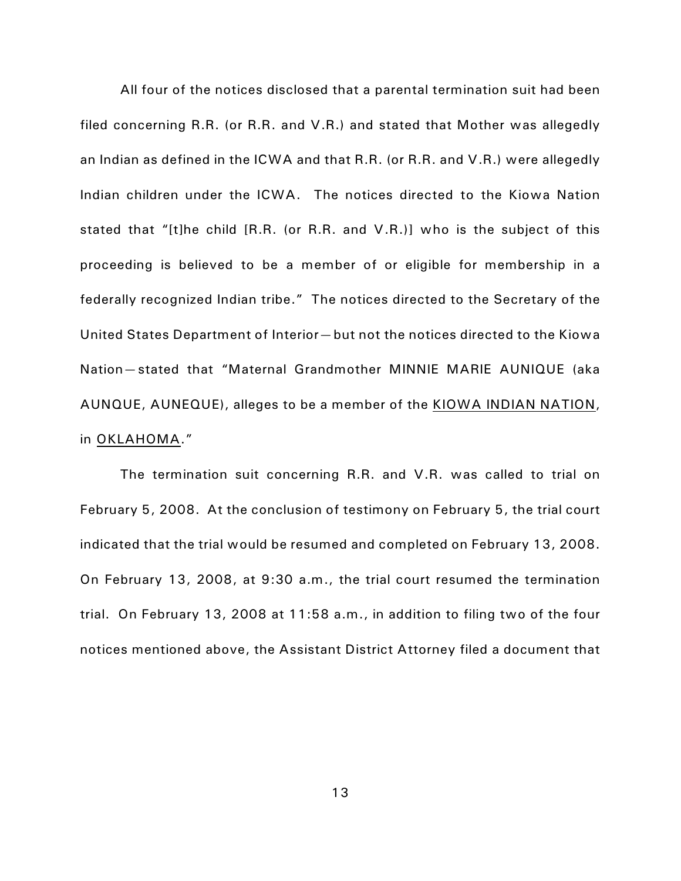All four of the notices disclosed that a parental termination suit had been filed concerning R.R. (or R.R. and V.R.) and stated that Mother was allegedly an Indian as defined in the ICWA and that R.R. (or R.R. and V.R.) were allegedly Indian children under the ICWA. The notices directed to the Kiowa Nation stated that "[t]he child [R.R. (or R.R. and V.R.)] who is the subject of this proceeding is believed to be a member of or eligible for membership in a federally recognized Indian tribe." The notices directed to the Secretary of the United States Department of Interior—but not the notices directed to the Kiowa Nation—stated that "Maternal Grandmother MINNIE MARIE AUNIQUE (aka AUNQUE, AUNEQUE), alleges to be a member of the KIOWA INDIAN NATION, in OKLAHOMA."

The termination suit concerning R.R. and V.R. was called to trial on February 5, 2008. At the conclusion of testimony on February 5, the trial court indicated that the trial would be resumed and completed on February 13, 2008. On February 13, 2008, at 9:30 a.m., the trial court resumed the termination trial. On February 13, 2008 at 11:58 a.m., in addition to filing two of the four notices mentioned above, the Assistant District Attorney filed a document that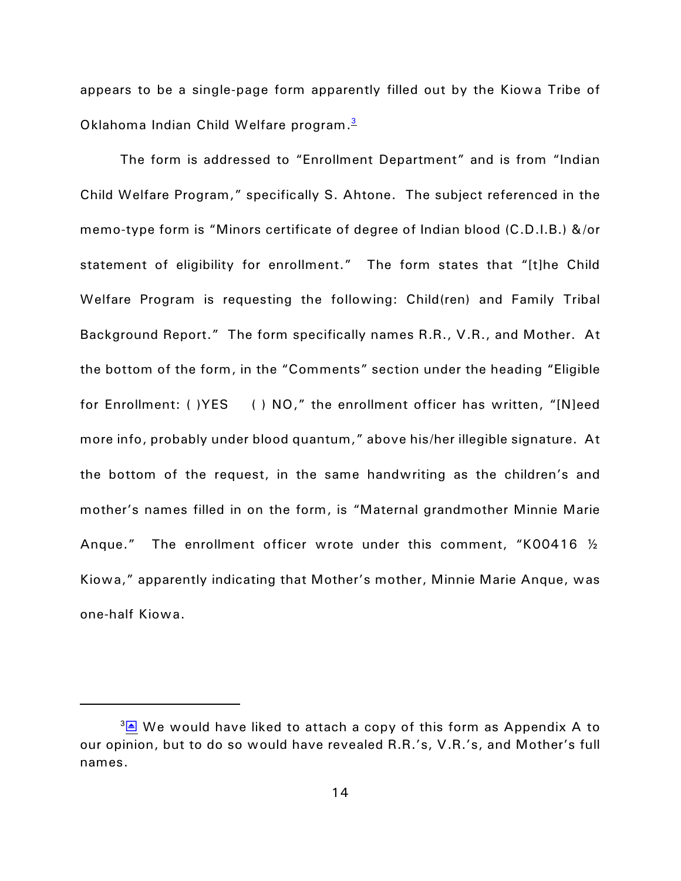<span id="page-13-0"></span>appears to be a single-page form apparently filled out by the Kiowa Tribe of Oklahoma Indian Child Welfare program. [3](#page-13-1)

The form is addressed to "Enrollment Department" and is from "Indian Child Welfare Program," specifically S. Ahtone. The subject referenced in the memo-type form is "Minors certificate of degree of Indian blood (C.D.I.B.) &/or statement of eligibility for enrollment." The form states that "[t]he Child Welfare Program is requesting the following: Child(ren) and Family Tribal Background Report." The form specifically names R.R., V.R., and Mother. At the bottom of the form, in the "Comments" section under the heading "Eligible for Enrollment: ( )YES ( ) NO," the enrollment officer has written, "[N]eed more info, probably under blood quantum," above his/her illegible signature. At the bottom of the request, in the same handwriting as the children's and mother's names filled in on the form, is "Maternal grandmother Minnie Marie Anque." The enrollment officer wrote under this comment, "K00416 ½ Kiowa," apparently indicating that Mother's mother, Minnie Marie Anque, was one-half Kiowa.

<span id="page-13-1"></span> $3\overline{\triangle}$  We would have liked to attach a copy of this form as Appendix A to our opinion, but to do so would have revealed R.R.'s, V.R.'s, and Mother's full names.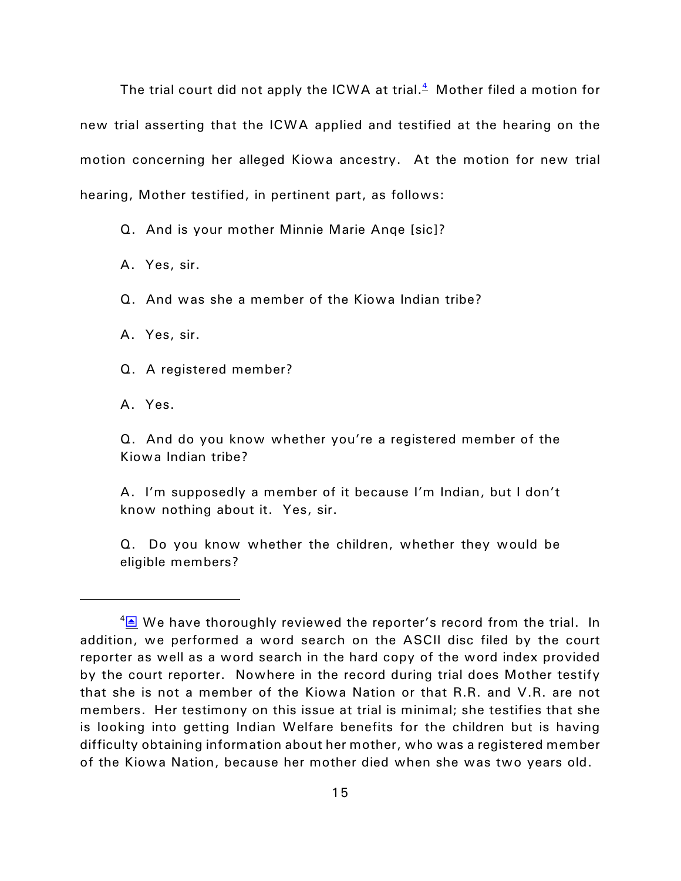The trial court did not apply the ICWA at trial. $^4\,$  $^4\,$  $^4\,$  Mother filed a motion for new trial asserting that the ICWA applied and testified at the hearing on the motion concerning her alleged Kiowa ancestry. At the motion for new trial hearing, Mother testified, in pertinent part, as follows:

<span id="page-14-0"></span>Q. And is your mother Minnie Marie Anqe [sic]?

A. Yes, sir.

Q. And was she a member of the Kiowa Indian tribe?

A. Yes, sir.

Q. A registered member?

A. Yes.

Q. And do you know whether you're a registered member of the Kiowa Indian tribe?

A. I'm supposedly a member of it because I'm Indian, but I don't know nothing about it. Yes, sir.

Q. Do you know whether the children, whether they would be eligible members?

<span id="page-14-1"></span> $4\overline{\triangle}$  We have thoroughly reviewed the reporter's record from the trial. In addition, we performed a word search on the ASCII disc filed by the court reporter as well as a word search in the hard copy of the word index provided by the court reporter. Nowhere in the record during trial does Mother testify that she is not a member of the Kiowa Nation or that R.R. and V.R. are not members. Her testimony on this issue at trial is minimal; she testifies that she is looking into getting Indian Welfare benefits for the children but is having difficulty obtaining information about her mother, who was a registered member of the Kiowa Nation, because her mother died when she was two years old.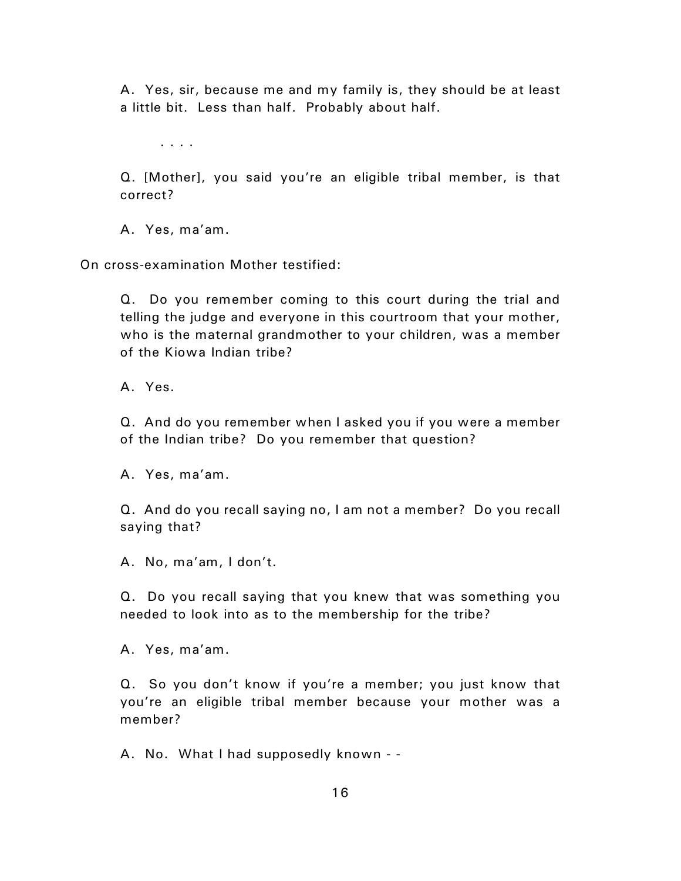A. Yes, sir, because me and my family is, they should be at least a little bit. Less than half. Probably about half.

. . . .

Q. [Mother], you said you're an eligible tribal member, is that correct?

A. Yes, ma'am.

On cross-examination Mother testified:

Q. Do you remember coming to this court during the trial and telling the judge and everyone in this courtroom that your mother, who is the maternal grandmother to your children, was a member of the Kiowa Indian tribe?

A. Yes.

Q. And do you remember when I asked you if you were a member of the Indian tribe? Do you remember that question?

A. Yes, ma'am.

Q. And do you recall saying no, I am not a member? Do you recall saying that?

A. No, ma'am, I don't.

Q. Do you recall saying that you knew that was something you needed to look into as to the membership for the tribe?

A. Yes, ma'am.

Q. So you don't know if you're a member; you just know that you're an eligible tribal member because your mother was a member?

A. No. What I had supposedly known - -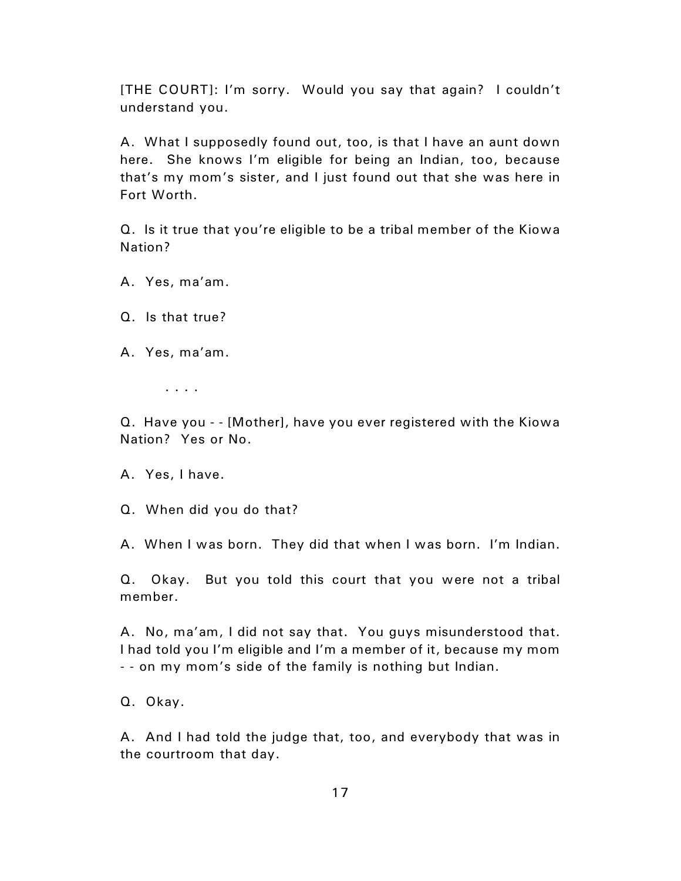[THE COURT]: I'm sorry. Would you say that again? I couldn't understand you.

A. What I supposedly found out, too, is that I have an aunt down here. She knows I'm eligible for being an Indian, too, because that's my mom's sister, and I just found out that she was here in Fort Worth.

Q. Is it true that you're eligible to be a tribal member of the Kiowa Nation?

- A. Yes, ma'am.
- Q. Is that true?
- A. Yes, ma'am.

. . . .

Q. Have you - - [Mother], have you ever registered with the Kiowa Nation? Yes or No.

A. Yes, I have.

Q. When did you do that?

A. When I was born. They did that when I was born. I'm Indian.

Q. Okay. But you told this court that you were not a tribal member.

A. No, ma'am, I did not say that. You guys misunderstood that. I had told you I'm eligible and I'm a member of it, because my mom - - on my mom's side of the family is nothing but Indian.

Q. Okay.

A. And I had told the judge that, too, and everybody that was in the courtroom that day.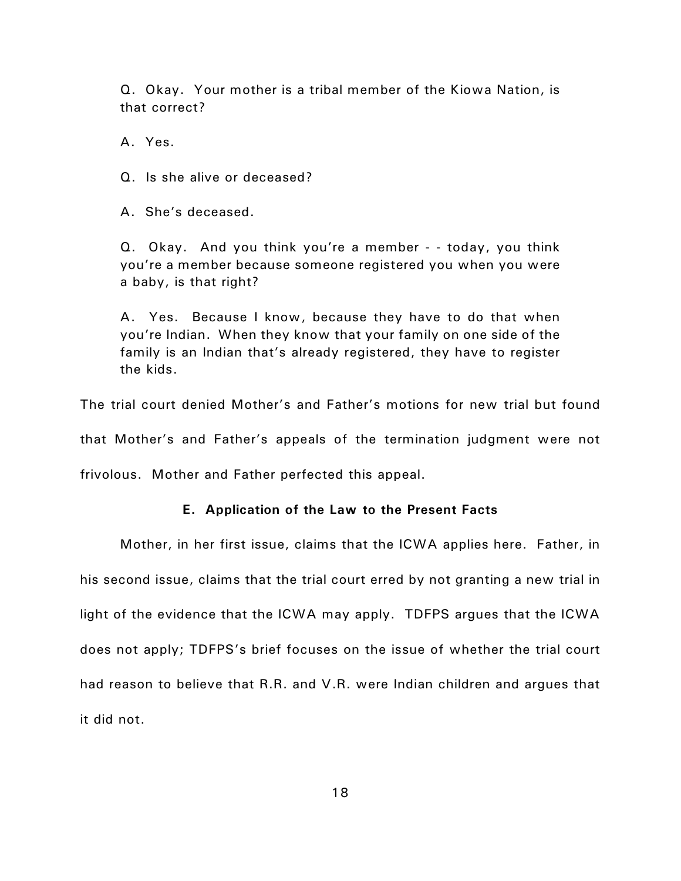Q. Okay. Your mother is a tribal member of the Kiowa Nation, is that correct?

A. Yes.

Q. Is she alive or deceased?

A. She's deceased.

Q. Okay. And you think you're a member - - today, you think you're a member because someone registered you when you were a baby, is that right?

A. Yes. Because I know, because they have to do that when you're Indian. When they know that your family on one side of the family is an Indian that's already registered, they have to register the kids.

The trial court denied Mother's and Father's motions for new trial but found

that Mother's and Father's appeals of the termination judgment were not

frivolous. Mother and Father perfected this appeal.

## **E. Application of the Law to the Present Facts**

Mother, in her first issue, claims that the ICWA applies here. Father, in his second issue, claims that the trial court erred by not granting a new trial in light of the evidence that the ICWA may apply. TDFPS argues that the ICWA does not apply; TDFPS's brief focuses on the issue of whether the trial court had reason to believe that R.R. and V.R. were Indian children and argues that it did not.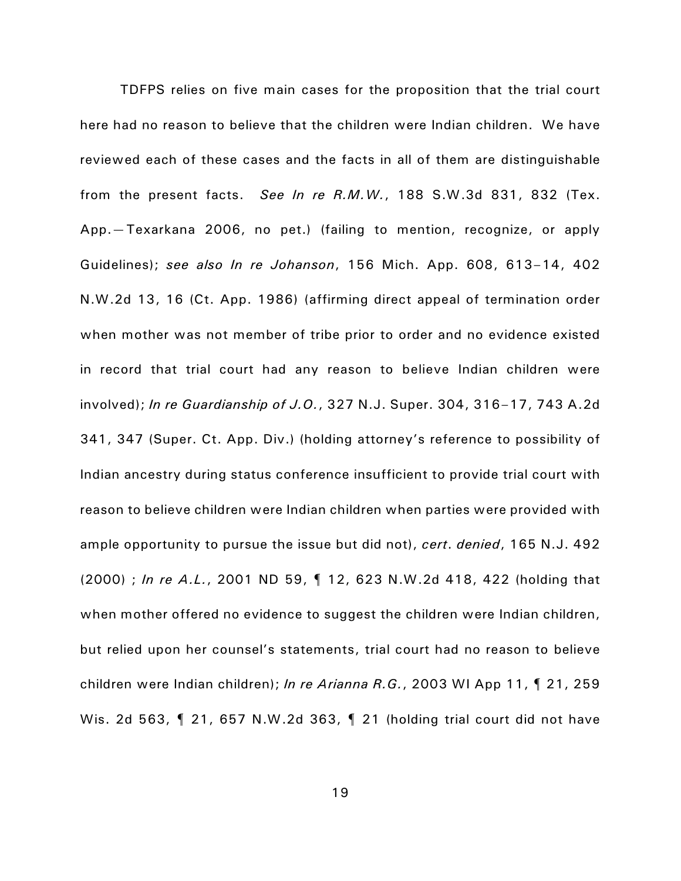TDFPS relies on five main cases for the proposition that the trial court here had no reason to believe that the children were Indian children. We have reviewed each of these cases and the facts in all of them are distinguishable from the present facts. *See In re R.M.W.*, 188 S.W.3d 831, 832 (Tex. App.—Texarkana 2006, no pet.) (failing to mention, recognize, or apply Guidelines); *see also In re Johanson*, 156 Mich. App. 608, 613–14, 402 N.W.2d 13, 16 (Ct. App. 1986) (affirming direct appeal of termination order when mother was not member of tribe prior to order and no evidence existed in record that trial court had any reason to believe Indian children were involved); *In re Guardianship of J.O.*, 327 N.J. Super. 304, 316–17, 743 A.2d 341, 347 (Super. Ct. App. Div.) (holding attorney's reference to possibility of Indian ancestry during status conference insufficient to provide trial court with reason to believe children were Indian children when parties were provided with ample opportunity to pursue the issue but did not), *cert*. *denied*, 165 N.J. 492 (2000) ; *In re A.L.*, 2001 ND 59, ¶ 12, 623 N.W.2d 418, 422 (holding that when mother offered no evidence to suggest the children were Indian children, but relied upon her counsel's statements, trial court had no reason to believe children were Indian children); *In re Arianna R.G.*, 2003 WI App 11, ¶ 21, 259 Wis. 2d 563, ¶ 21, 657 N.W.2d 363, ¶ 21 (holding trial court did not have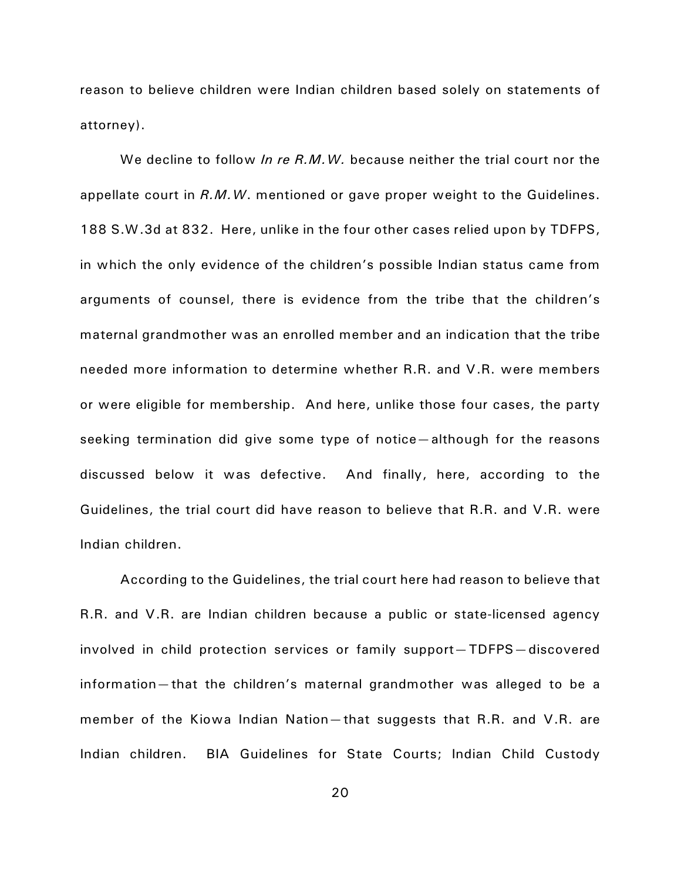reason to believe children were Indian children based solely on statements of attorney).

We decline to follow *In re R.M.W.* because neither the trial court nor the appellate court in *R.M.W*. mentioned or gave proper weight to the Guidelines. 188 S.W.3d at 832. Here, unlike in the four other cases relied upon by TDFPS, in which the only evidence of the children's possible Indian status came from arguments of counsel, there is evidence from the tribe that the children's maternal grandmother was an enrolled member and an indication that the tribe needed more information to determine whether R.R. and V.R. were members or were eligible for membership. And here, unlike those four cases, the party seeking termination did give some type of notice—although for the reasons discussed below it was defective. And finally, here, according to the Guidelines, the trial court did have reason to believe that R.R. and V.R. were Indian children.

According to the Guidelines, the trial court here had reason to believe that R.R. and V.R. are Indian children because a public or state-licensed agency involved in child protection services or family support—TDFPS—discovered information—that the children's maternal grandmother was alleged to be a member of the Kiowa Indian Nation—that suggests that R.R. and V.R. are Indian children. BIA Guidelines for State Courts; Indian Child Custody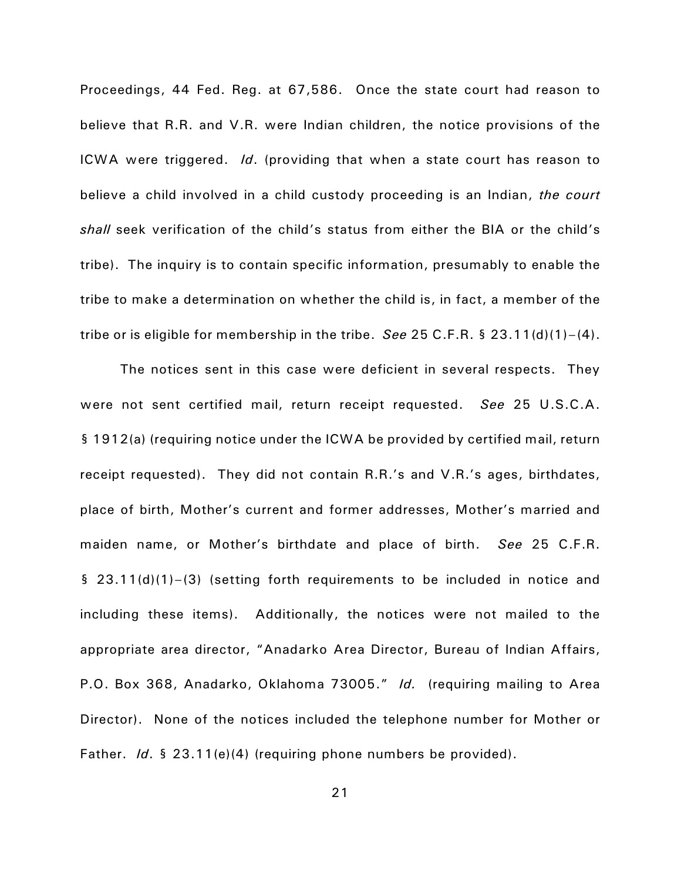Proceedings, 44 Fed. Reg. at 67,586. Once the state court had reason to believe that R.R. and V.R. were Indian children, the notice provisions of the ICWA were triggered. *Id*. (providing that when a state court has reason to believe a child involved in a child custody proceeding is an Indian, *the court shall* seek verification of the child's status from either the BIA or the child's tribe). The inquiry is to contain specific information, presumably to enable the tribe to make a determination on whether the child is, in fact, a member of the tribe or is eligible for membership in the tribe. *See* 25 C.F.R. § 23.11(d)(1)–(4).

The notices sent in this case were deficient in several respects. They were not sent certified mail, return receipt requested. *See* 25 U.S.C.A. § 1912(a) (requiring notice under the ICWA be provided by certified mail, return receipt requested). They did not contain R.R.'s and V.R.'s ages, birthdates, place of birth, Mother's current and former addresses, Mother's married and maiden name, or Mother's birthdate and place of birth. *See* 25 C.F.R. § 23.11(d)(1)–(3) (setting forth requirements to be included in notice and including these items). Additionally, the notices were not mailed to the appropriate area director, "Anadarko Area Director, Bureau of Indian Affairs, P.O. Box 368, Anadarko, Oklahoma 73005." *Id.* (requiring mailing to Area Director). None of the notices included the telephone number for Mother or Father. *Id*. § 23.11(e)(4) (requiring phone numbers be provided).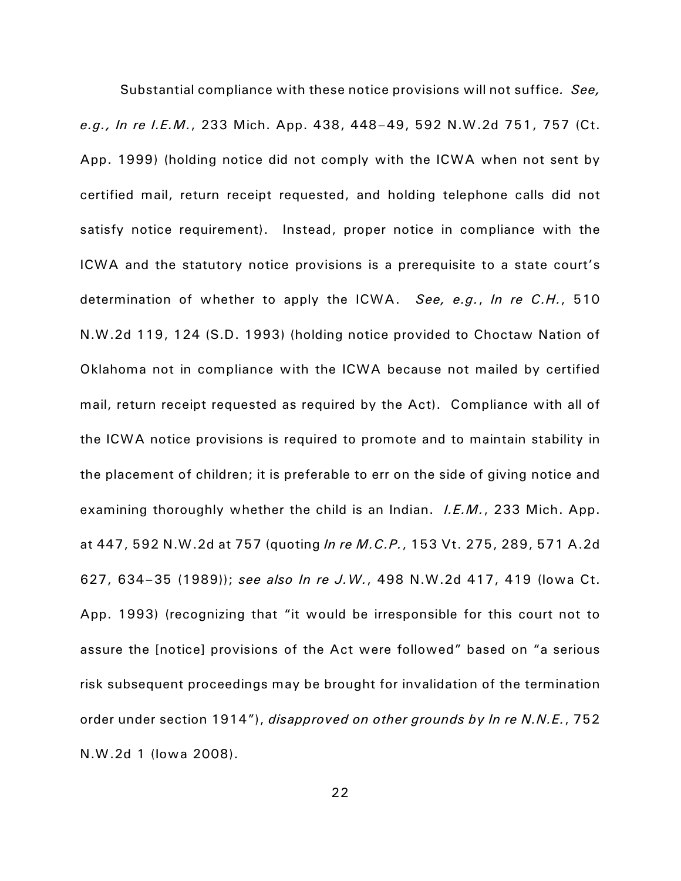Substantial compliance with these notice provisions will not suffice*. See, e.g., In re I.E.M.*, 233 Mich. App. 438, 448–49, 592 N.W.2d 751, 757 (Ct. App. 1999) (holding notice did not comply with the ICWA when not sent by certified mail, return receipt requested, and holding telephone calls did not satisfy notice requirement). Instead, proper notice in compliance with the ICWA and the statutory notice provisions is a prerequisite to a state court's determination of whether to apply the ICWA. *See, e.g.*, *In re C.H.*, 510 N.W.2d 119, 124 (S.D. 1993) (holding notice provided to Choctaw Nation of Oklahoma not in compliance with the ICWA because not mailed by certified mail, return receipt requested as required by the Act). Compliance with all of the ICWA notice provisions is required to promote and to maintain stability in the placement of children; it is preferable to err on the side of giving notice and examining thoroughly whether the child is an Indian. *I.E.M.*, 233 Mich. App. at 447, 592 N.W.2d at 757 (quoting *In re M.C.P.*, 153 Vt. 275, 289, 571 A.2d 627, 634–35 (1989)); *see also In re J.W.*, 498 N.W.2d 417, 419 (Iowa Ct. App. 1993) (recognizing that "it would be irresponsible for this court not to assure the [notice] provisions of the Act were followed" based on "a serious risk subsequent proceedings may be brought for invalidation of the termination order under section 1914"), *disapproved on other grounds by In re N.N.E.*, 752 N.W.2d 1 (Iowa 2008).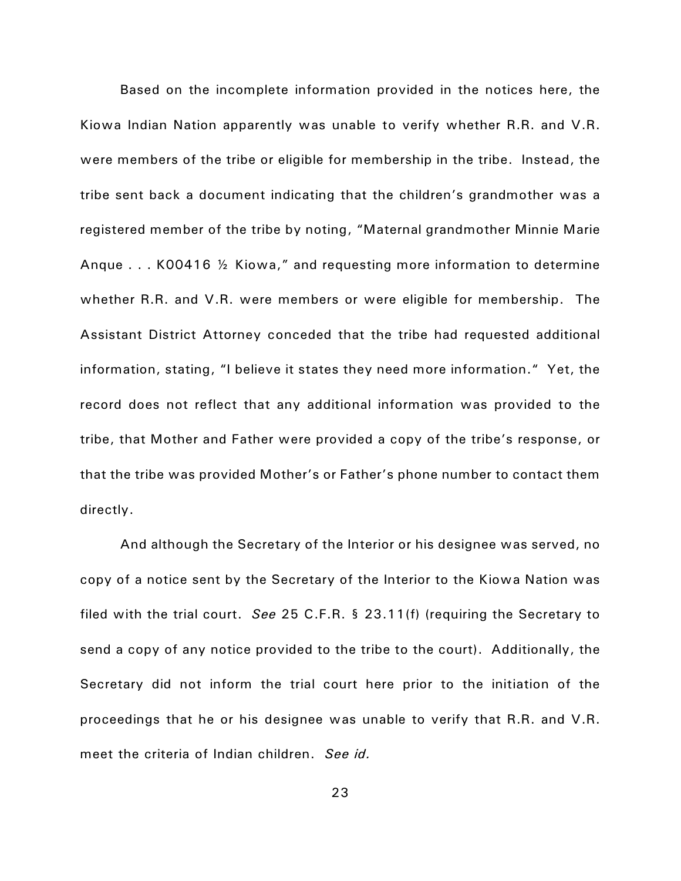Based on the incomplete information provided in the notices here, the Kiowa Indian Nation apparently was unable to verify whether R.R. and V.R. were members of the tribe or eligible for membership in the tribe. Instead, the tribe sent back a document indicating that the children's grandmother was a registered member of the tribe by noting, "Maternal grandmother Minnie Marie Anque . . . K00416 ½ Kiowa," and requesting more information to determine whether R.R. and V.R. were members or were eligible for membership. The Assistant District Attorney conceded that the tribe had requested additional information, stating, "I believe it states they need more information." Yet, the record does not reflect that any additional information was provided to the tribe, that Mother and Father were provided a copy of the tribe's response, or that the tribe was provided Mother's or Father's phone number to contact them directly.

And although the Secretary of the Interior or his designee was served, no copy of a notice sent by the Secretary of the Interior to the Kiowa Nation was filed with the trial court. *See* 25 C.F.R. § 23.11(f) (requiring the Secretary to send a copy of any notice provided to the tribe to the court). Additionally, the Secretary did not inform the trial court here prior to the initiation of the proceedings that he or his designee was unable to verify that R.R. and V.R. meet the criteria of Indian children. *See id.*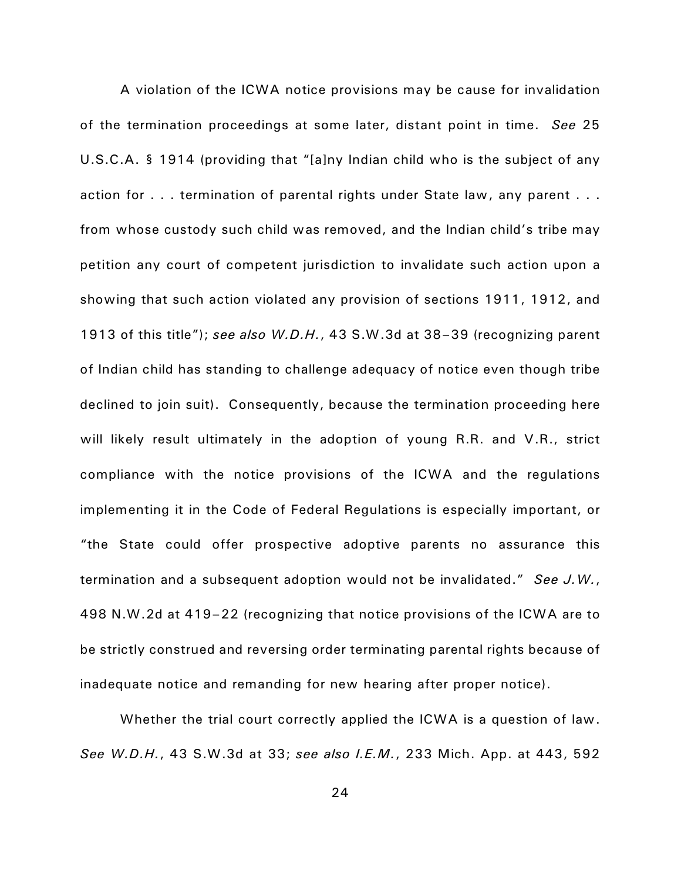A violation of the ICWA notice provisions may be cause for invalidation of the termination proceedings at some later, distant point in time. *See* 25 U.S.C.A. § 1914 (providing that "[a]ny Indian child who is the subject of any action for . . . termination of parental rights under State law, any parent . . . from whose custody such child was removed, and the Indian child's tribe may petition any court of competent jurisdiction to invalidate such action upon a showing that such action violated any provision of sections 1911, 1912, and 1913 of this title"); *see also W.D.H.*, 43 S.W.3d at 38–39 (recognizing parent of Indian child has standing to challenge adequacy of notice even though tribe declined to join suit). Consequently, because the termination proceeding here will likely result ultimately in the adoption of young R.R. and V.R., strict compliance with the notice provisions of the ICWA and the regulations implementing it in the Code of Federal Regulations is especially important, or "the State could offer prospective adoptive parents no assurance this termination and a subsequent adoption would not be invalidated." *See J.W.*, 498 N.W.2d at 419–22 (recognizing that notice provisions of the ICWA are to be strictly construed and reversing order terminating parental rights because of inadequate notice and remanding for new hearing after proper notice).

Whether the trial court correctly applied the ICWA is a question of law. *See W.D.H.*, 43 S.W.3d at 33; *see also I.E.M.*, 233 Mich. App. at 443, 592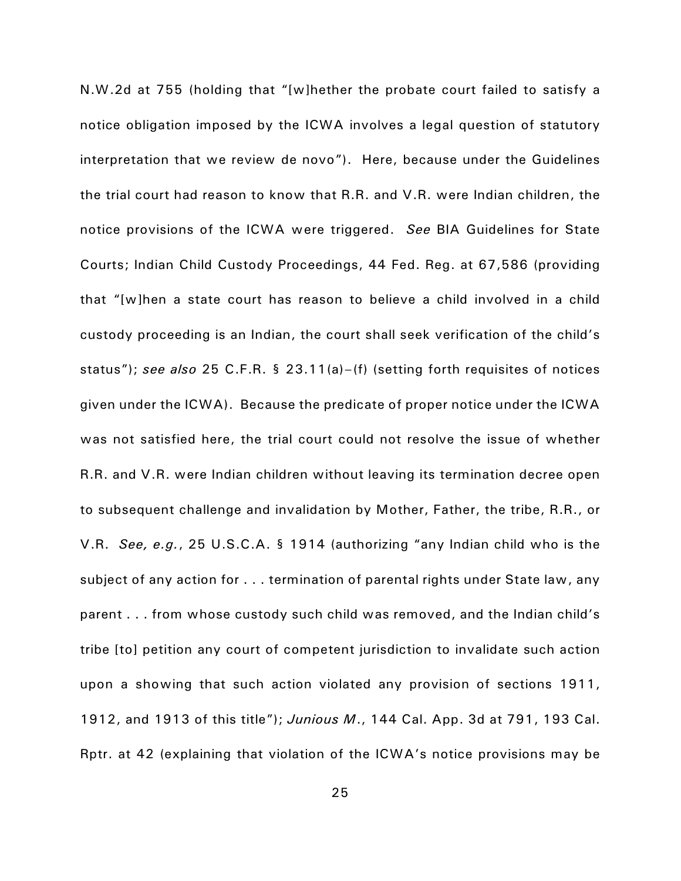N.W.2d at 755 (holding that "[w]hether the probate court failed to satisfy a notice obligation imposed by the ICWA involves a legal question of statutory interpretation that we review de novo"). Here, because under the Guidelines the trial court had reason to know that R.R. and V.R. were Indian children, the notice provisions of the ICWA were triggered. *See* BIA Guidelines for State Courts; Indian Child Custody Proceedings, 44 Fed. Reg. at 67,586 (providing that "[w]hen a state court has reason to believe a child involved in a child custody proceeding is an Indian, the court shall seek verification of the child's status"); *see also* 25 C.F.R. § 23.11(a)–(f) (setting forth requisites of notices given under the ICWA). Because the predicate of proper notice under the ICWA was not satisfied here, the trial court could not resolve the issue of whether R.R. and V.R. were Indian children without leaving its termination decree open to subsequent challenge and invalidation by Mother, Father, the tribe, R.R., or V.R. *See, e.g.*, 25 U.S.C.A. § 1914 (authorizing "any Indian child who is the subject of any action for . . . termination of parental rights under State law, any parent . . . from whose custody such child was removed, and the Indian child's tribe [to] petition any court of competent jurisdiction to invalidate such action upon a showing that such action violated any provision of sections 1911, 1912, and 1913 of this title"); *Junious M*., 144 Cal. App. 3d at 791, 193 Cal. Rptr. at 42 (explaining that violation of the ICWA's notice provisions may be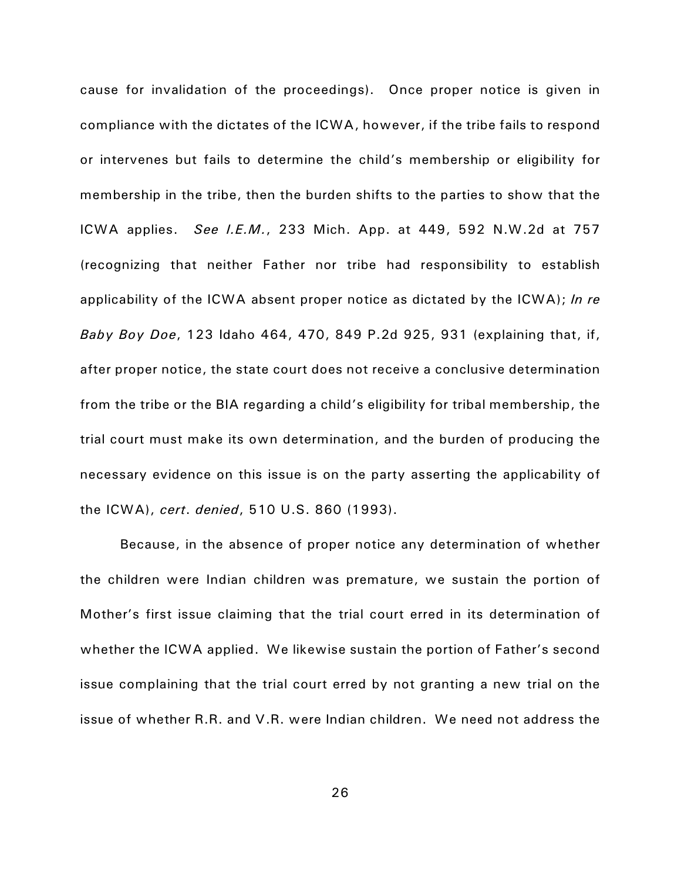cause for invalidation of the proceedings). Once proper notice is given in compliance with the dictates of the ICWA, however, if the tribe fails to respond or intervenes but fails to determine the child's membership or eligibility for membership in the tribe, then the burden shifts to the parties to show that the ICWA applies. *See I.E.M.*, 233 Mich. App. at 449, 592 N.W.2d at 757 (recognizing that neither Father nor tribe had responsibility to establish applicability of the ICWA absent proper notice as dictated by the ICWA); *In re Baby Boy Doe*, 123 Idaho 464, 470, 849 P.2d 925, 931 (explaining that, if, after proper notice, the state court does not receive a conclusive determination from the tribe or the BIA regarding a child's eligibility for tribal membership, the trial court must make its own determination, and the burden of producing the necessary evidence on this issue is on the party asserting the applicability of the ICWA), *cert*. *denied*, 510 U.S. 860 (1993).

Because, in the absence of proper notice any determination of whether the children were Indian children was premature, we sustain the portion of Mother's first issue claiming that the trial court erred in its determination of whether the ICWA applied. We likewise sustain the portion of Father's second issue complaining that the trial court erred by not granting a new trial on the issue of whether R.R. and V.R. were Indian children. We need not address the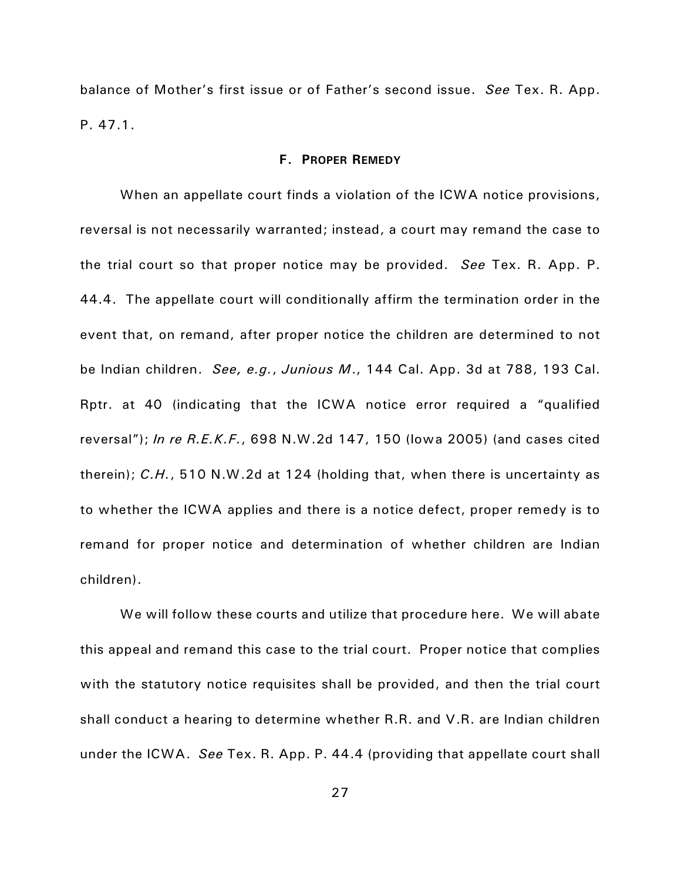balance of Mother's first issue or of Father's second issue. *See* Tex. R. App. P. 47.1.

#### **F. PROPER REMEDY**

When an appellate court finds a violation of the ICWA notice provisions, reversal is not necessarily warranted; instead, a court may remand the case to the trial court so that proper notice may be provided. *See* Tex. R. App. P. 44.4. The appellate court will conditionally affirm the termination order in the event that, on remand, after proper notice the children are determined to not be Indian children. *See, e.g.*, *Junious M*., 144 Cal. App. 3d at 788, 193 Cal. Rptr. at 40 (indicating that the ICWA notice error required a "qualified reversal"); *In re R.E.K.F.*, 698 N.W.2d 147, 150 (Iowa 2005) (and cases cited therein); *C.H.*, 510 N.W.2d at 124 (holding that, when there is uncertainty as to whether the ICWA applies and there is a notice defect, proper remedy is to remand for proper notice and determination of whether children are Indian children).

We will follow these courts and utilize that procedure here. We will abate this appeal and remand this case to the trial court. Proper notice that complies with the statutory notice requisites shall be provided, and then the trial court shall conduct a hearing to determine whether R.R. and V.R. are Indian children under the ICWA. *See* Tex. R. App. P. 44.4 (providing that appellate court shall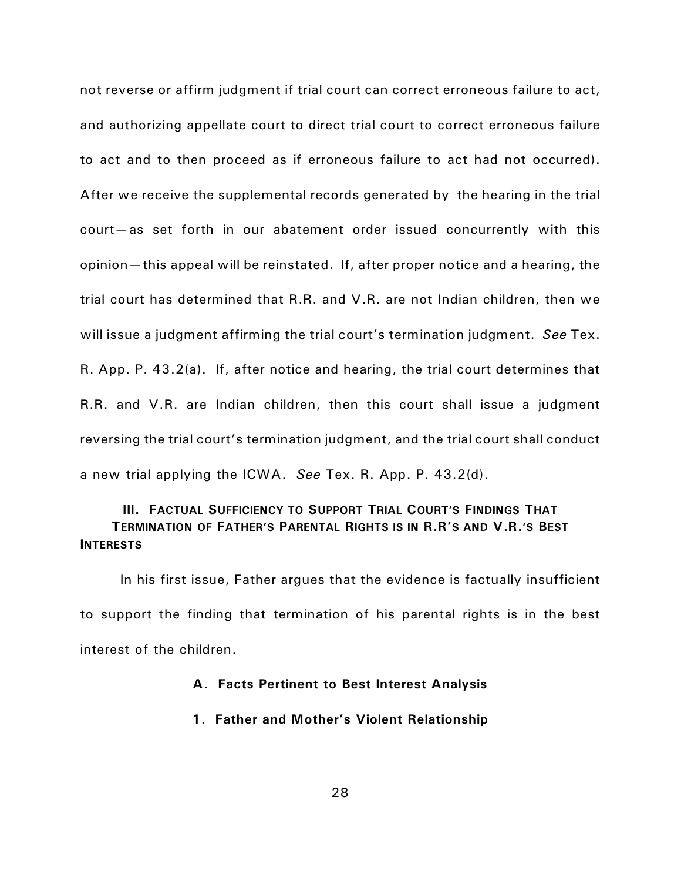not reverse or affirm judgment if trial court can correct erroneous failure to act, and authorizing appellate court to direct trial court to correct erroneous failure to act and to then proceed as if erroneous failure to act had not occurred). After we receive the supplemental records generated by the hearing in the trial court—as set forth in our abatement order issued concurrently with this opinion—this appeal will be reinstated. If, after proper notice and a hearing, the trial court has determined that R.R. and V.R. are not Indian children, then we will issue a judgment affirming the trial court's termination judgment. *See* Tex. R. App. P. 43.2(a). If, after notice and hearing, the trial court determines that R.R. and V.R. are Indian children, then this court shall issue a judgment reversing the trial court's termination judgment, and the trial court shall conduct a new trial applying the ICWA. *See* Tex. R. App. P. 43.2(d).

# **III. FACTUAL SUFFICIENCY TO SUPPORT TRIAL COURT'S FINDINGS THAT TERMINATION OF FATHER'S PARENTAL RIGHTS IS IN R.R'S AND V.R.'S BEST INTERESTS**

In his first issue, Father argues that the evidence is factually insufficient to support the finding that termination of his parental rights is in the best interest of the children.

# **A. Facts Pertinent to Best Interest Analysis**

## **1. Father and Mother's Violent Relationship**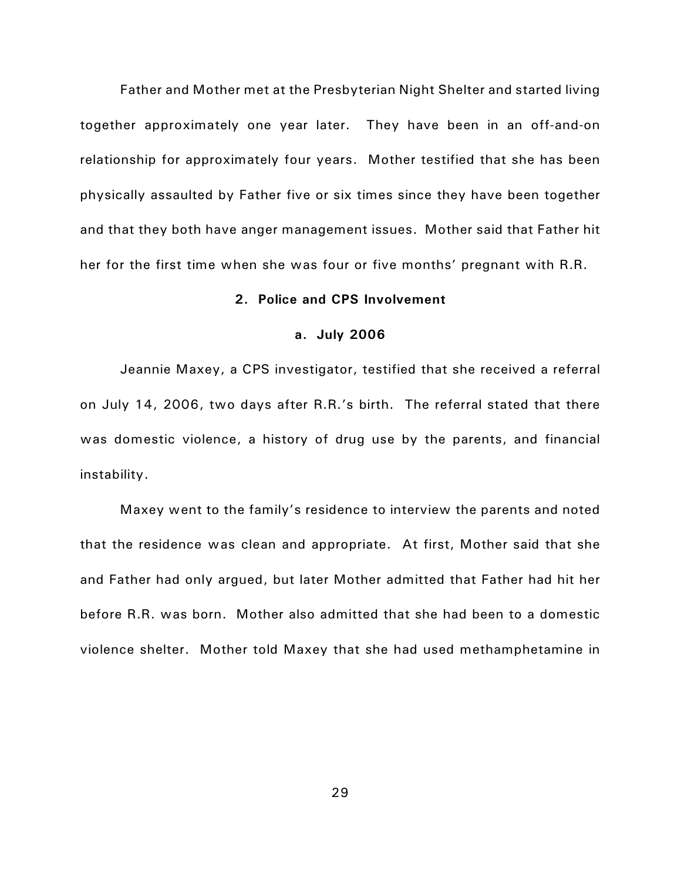Father and Mother met at the Presbyterian Night Shelter and started living together approximately one year later. They have been in an off-and-on relationship for approximately four years. Mother testified that she has been physically assaulted by Father five or six times since they have been together and that they both have anger management issues. Mother said that Father hit her for the first time when she was four or five months' pregnant with R.R.

## **2. Police and CPS Involvement**

#### **a. July 2006**

Jeannie Maxey, a CPS investigator, testified that she received a referral on July 14, 2006, two days after R.R.'s birth. The referral stated that there was domestic violence, a history of drug use by the parents, and financial instability.

Maxey went to the family's residence to interview the parents and noted that the residence was clean and appropriate. At first, Mother said that she and Father had only argued, but later Mother admitted that Father had hit her before R.R. was born. Mother also admitted that she had been to a domestic violence shelter. Mother told Maxey that she had used methamphetamine in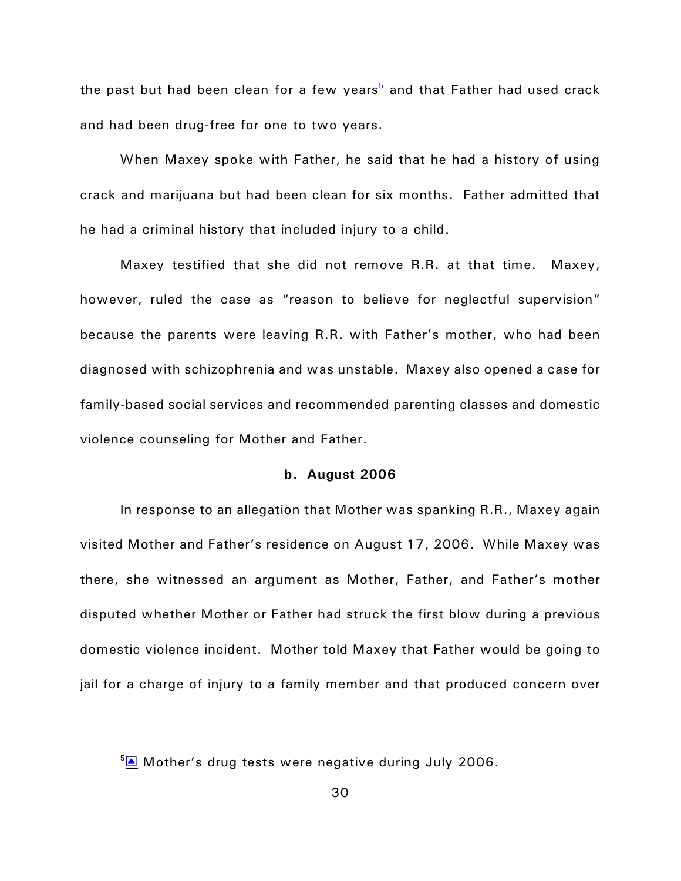<span id="page-29-0"></span>the past but had been clean for a few years<sup>[5](#page-29-1)</sup> and that Father had used crack and had been drug-free for one to two years.

When Maxey spoke with Father, he said that he had a history of using crack and marijuana but had been clean for six months. Father admitted that he had a criminal history that included injury to a child.

Maxey testified that she did not remove R.R. at that time. Maxey, however, ruled the case as "reason to believe for neglectful supervision" because the parents were leaving R.R. with Father's mother, who had been diagnosed with schizophrenia and was unstable. Maxey also opened a case for family-based social services and recommended parenting classes and domestic violence counseling for Mother and Father.

## **b. August 2006**

In response to an allegation that Mother was spanking R.R., Maxey again visited Mother and Father's residence on August 17, 2006. While Maxey was there, she witnessed an argument as Mother, Father, and Father's mother disputed whether Mother or Father had struck the first blow during a previous domestic violence incident. Mother told Maxey that Father would be going to jail for a charge of injury to a family member and that produced concern over

<span id="page-29-1"></span> $5\overline{\triangle}$  Mother's drug tests were negative during July 2006.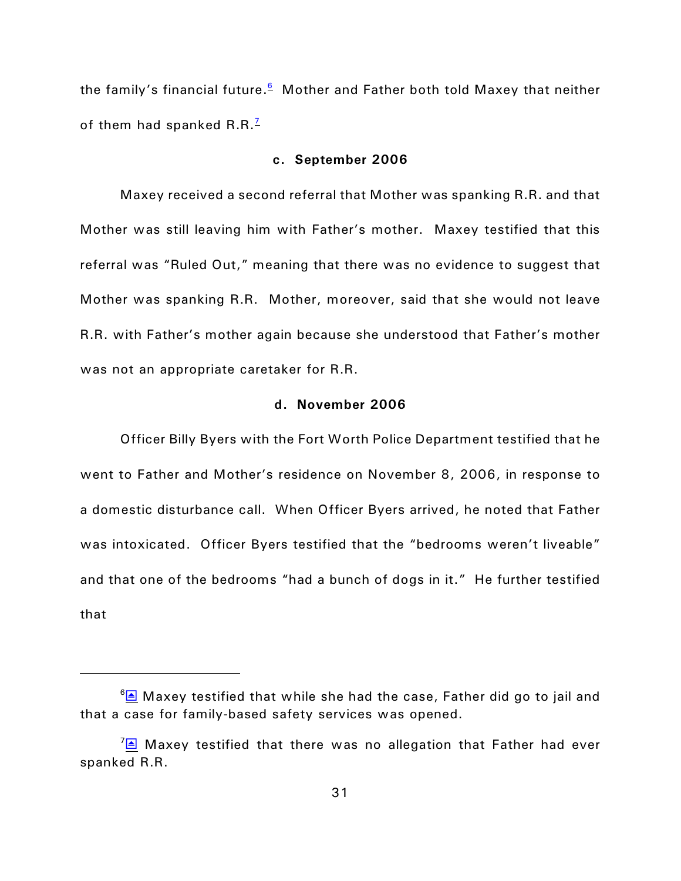the family's financial future.<sup><u>[6](#page-30-2)</u></sup> Mother and Father both told Maxey that neither of them had spanked  $R.R.$ <sup>[7](#page-30-3)</sup>

#### <span id="page-30-1"></span><span id="page-30-0"></span>**c. September 2006**

Maxey received a second referral that Mother was spanking R.R. and that Mother was still leaving him with Father's mother. Maxey testified that this referral was "Ruled Out," meaning that there was no evidence to suggest that Mother was spanking R.R. Mother, moreover, said that she would not leave R.R. with Father's mother again because she understood that Father's mother was not an appropriate caretaker for R.R.

# **d. November 2006**

Officer Billy Byers with the Fort Worth Police Department testified that he went to Father and Mother's residence on November 8, 2006, in response to a domestic disturbance call. When Officer Byers arrived, he noted that Father was intoxicated. Officer Byers testified that the "bedrooms weren't liveable" and that one of the bedrooms "had a bunch of dogs in it." He further testified that

<span id="page-30-2"></span> $6\text{A}$  Maxey testified that while she had the case, Father did go to jail and that a case for family-based safety services was opened.

<span id="page-30-3"></span> $\sqrt{2}$  Maxey testified that there was no allegation that Father had ever spanked R.R.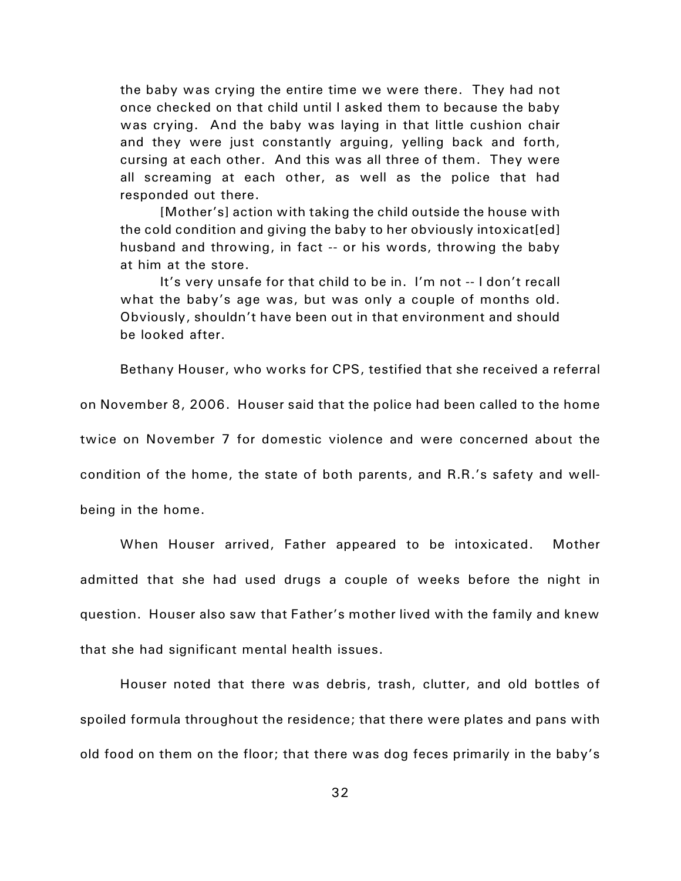the baby was crying the entire time we were there. They had not once checked on that child until I asked them to because the baby was crying. And the baby was laying in that little cushion chair and they were just constantly arguing, yelling back and forth, cursing at each other. And this was all three of them. They were all screaming at each other, as well as the police that had responded out there.

[Mother's] action with taking the child outside the house with the cold condition and giving the baby to her obviously intoxicat[ed] husband and throwing, in fact -- or his words, throwing the baby at him at the store.

It's very unsafe for that child to be in. I'm not -- I don't recall what the baby's age was, but was only a couple of months old. Obviously, shouldn't have been out in that environment and should be looked after.

Bethany Houser, who works for CPS, testified that she received a referral on November 8, 2006. Houser said that the police had been called to the home twice on November 7 for domestic violence and were concerned about the condition of the home, the state of both parents, and R.R.'s safety and wellbeing in the home.

When Houser arrived, Father appeared to be intoxicated. Mother admitted that she had used drugs a couple of weeks before the night in question. Houser also saw that Father's mother lived with the family and knew that she had significant mental health issues.

Houser noted that there was debris, trash, clutter, and old bottles of spoiled formula throughout the residence; that there were plates and pans with old food on them on the floor; that there was dog feces primarily in the baby's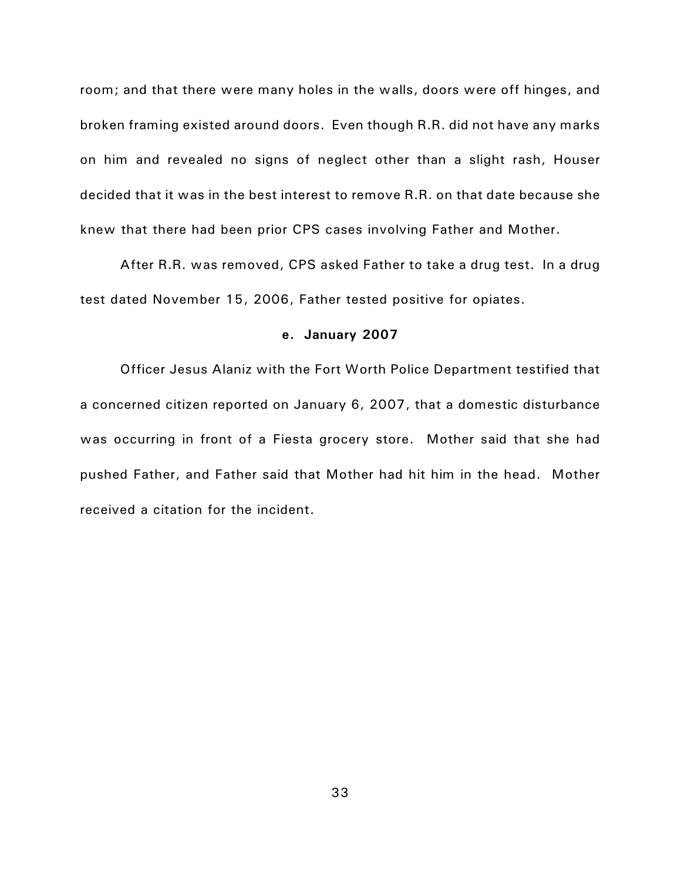room; and that there were many holes in the walls, doors were off hinges, and broken framing existed around doors. Even though R.R. did not have any marks on him and revealed no signs of neglect other than a slight rash, Houser decided that it was in the best interest to remove R.R. on that date because she knew that there had been prior CPS cases involving Father and Mother.

After R.R. was removed, CPS asked Father to take a drug test. In a drug test dated November 15, 2006, Father tested positive for opiates.

#### **e. January 2007**

Officer Jesus Alaniz with the Fort Worth Police Department testified that a concerned citizen reported on January 6, 2007, that a domestic disturbance was occurring in front of a Fiesta grocery store. Mother said that she had pushed Father, and Father said that Mother had hit him in the head. Mother received a citation for the incident.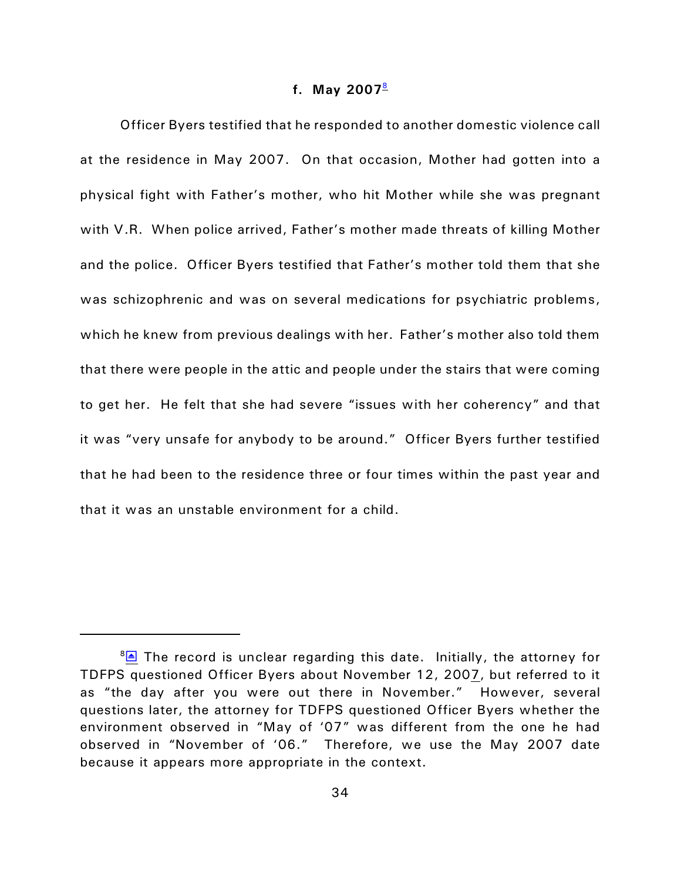## <span id="page-33-0"></span>**f. May 2007**[8](#page-33-1)

Officer Byers testified that he responded to another domestic violence call at the residence in May 2007. On that occasion, Mother had gotten into a physical fight with Father's mother, who hit Mother while she was pregnant with V.R. When police arrived, Father's mother made threats of killing Mother and the police. Officer Byers testified that Father's mother told them that she was schizophrenic and was on several medications for psychiatric problems, which he knew from previous dealings with her. Father's mother also told them that there were people in the attic and people under the stairs that were coming to get her. He felt that she had severe "issues with her coherency" and that it was "very unsafe for anybody to be around." Officer Byers further testified that he had been to the residence three or four times within the past year and that it was an unstable environment for a child.

<span id="page-33-1"></span> $8\overline{\triangleright}$  The record is unclear regarding this date. Initially, the attorney for TDFPS questioned Officer Byers about November 12, 2007, but referred to it as "the day after you were out there in November." However, several questions later, the attorney for TDFPS questioned Officer Byers whether the environment observed in "May of '07" was different from the one he had observed in "November of '06." Therefore, we use the May 2007 date because it appears more appropriate in the context.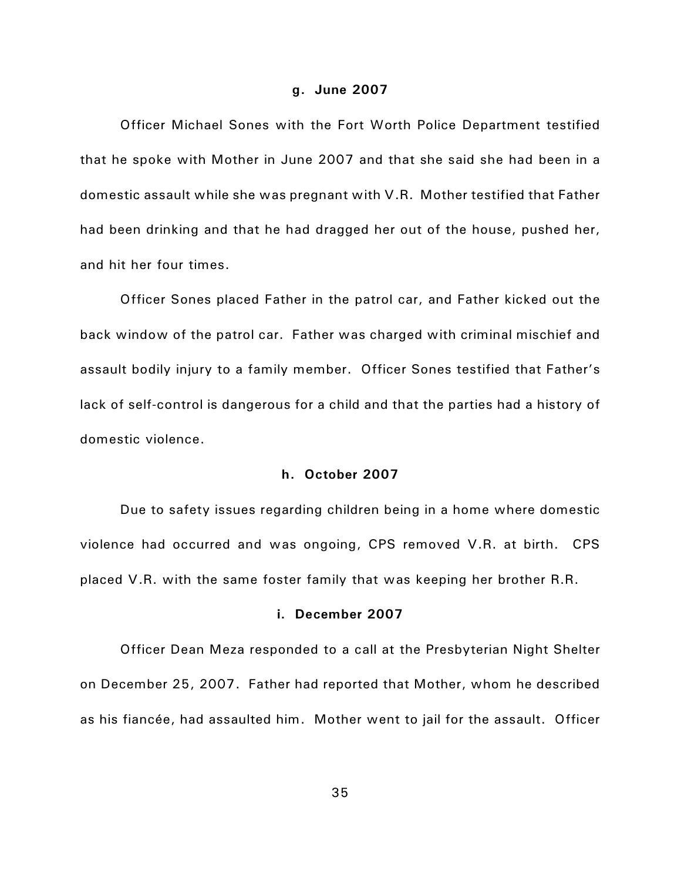#### **g. June 2007**

Officer Michael Sones with the Fort Worth Police Department testified that he spoke with Mother in June 2007 and that she said she had been in a domestic assault while she was pregnant with V.R. Mother testified that Father had been drinking and that he had dragged her out of the house, pushed her, and hit her four times.

Officer Sones placed Father in the patrol car, and Father kicked out the back window of the patrol car. Father was charged with criminal mischief and assault bodily injury to a family member. Officer Sones testified that Father's lack of self-control is dangerous for a child and that the parties had a history of domestic violence.

## **h. October 2007**

Due to safety issues regarding children being in a home where domestic violence had occurred and was ongoing, CPS removed V.R. at birth. CPS placed V.R. with the same foster family that was keeping her brother R.R.

## **i. December 2007**

Officer Dean Meza responded to a call at the Presbyterian Night Shelter on December 25, 2007. Father had reported that Mother, whom he described as his fiancée, had assaulted him. Mother went to jail for the assault. Officer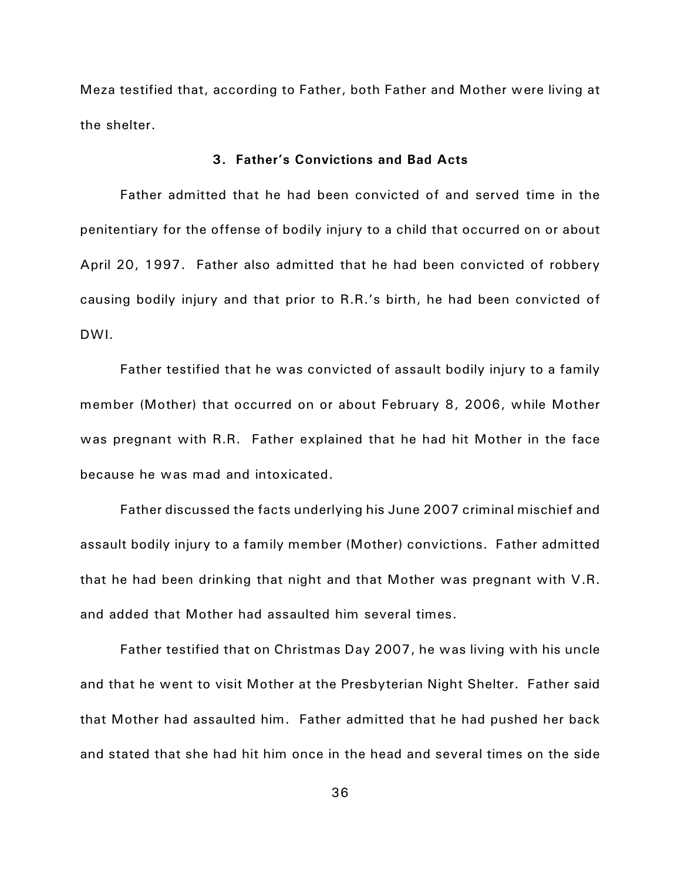Meza testified that, according to Father, both Father and Mother were living at the shelter.

# **3. Father's Convictions and Bad Acts**

Father admitted that he had been convicted of and served time in the penitentiary for the offense of bodily injury to a child that occurred on or about April 20, 1997. Father also admitted that he had been convicted of robbery causing bodily injury and that prior to R.R.'s birth, he had been convicted of DWI.

Father testified that he was convicted of assault bodily injury to a family member (Mother) that occurred on or about February 8, 2006, while Mother was pregnant with R.R. Father explained that he had hit Mother in the face because he was mad and intoxicated.

Father discussed the facts underlying his June 2007 criminal mischief and assault bodily injury to a family member (Mother) convictions. Father admitted that he had been drinking that night and that Mother was pregnant with V.R. and added that Mother had assaulted him several times.

Father testified that on Christmas Day 2007, he was living with his uncle and that he went to visit Mother at the Presbyterian Night Shelter. Father said that Mother had assaulted him. Father admitted that he had pushed her back and stated that she had hit him once in the head and several times on the side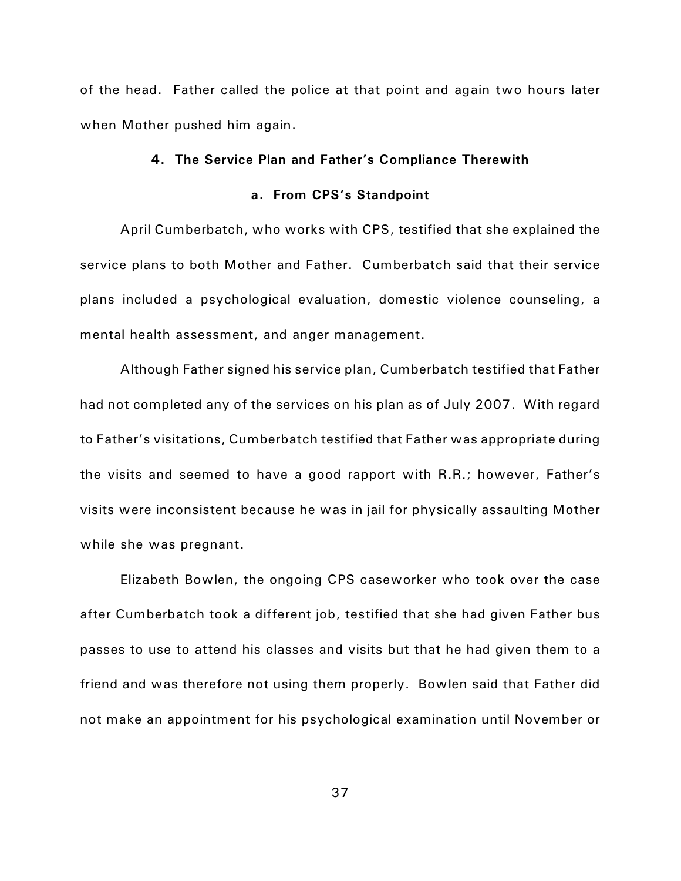of the head. Father called the police at that point and again two hours later when Mother pushed him again.

### **4. The Service Plan and Father's Compliance Therewith**

## **a. From CPS's Standpoint**

April Cumberbatch, who works with CPS, testified that she explained the service plans to both Mother and Father. Cumberbatch said that their service plans included a psychological evaluation, domestic violence counseling, a mental health assessment, and anger management.

Although Father signed his service plan, Cumberbatch testified that Father had not completed any of the services on his plan as of July 2007. With regard to Father's visitations, Cumberbatch testified that Father was appropriate during the visits and seemed to have a good rapport with R.R.; however, Father's visits were inconsistent because he was in jail for physically assaulting Mother while she was pregnant.

Elizabeth Bowlen, the ongoing CPS caseworker who took over the case after Cumberbatch took a different job, testified that she had given Father bus passes to use to attend his classes and visits but that he had given them to a friend and was therefore not using them properly. Bowlen said that Father did not make an appointment for his psychological examination until November or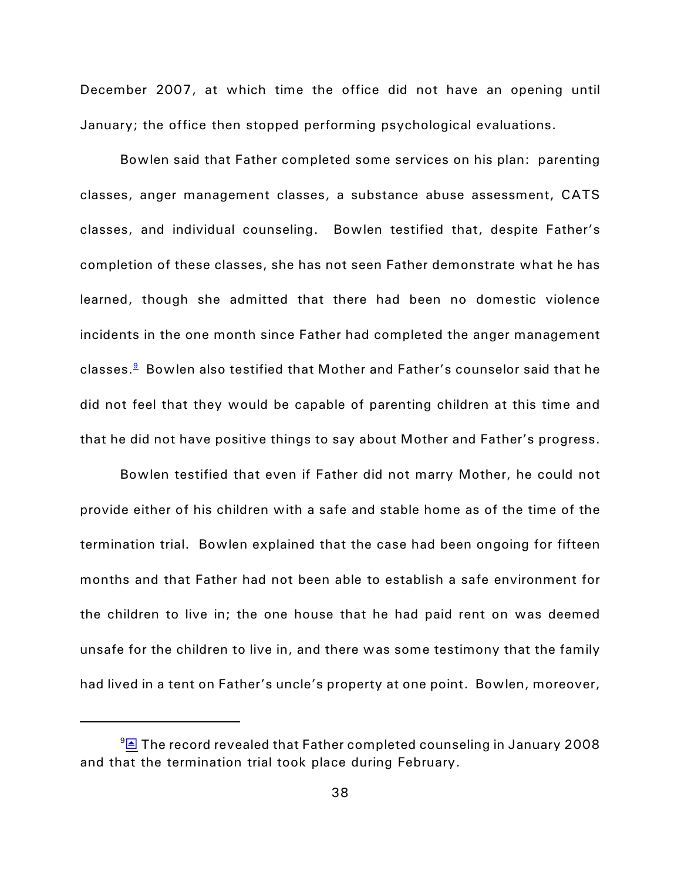December 2007, at which time the office did not have an opening until January; the office then stopped performing psychological evaluations.

Bowlen said that Father completed some services on his plan: parenting classes, anger management classes, a substance abuse assessment, CATS classes, and individual counseling. Bowlen testified that, despite Father's completion of these classes, she has not seen Father demonstrate what he has learned, though she admitted that there had been no domestic violence incidents in the one month since Father had completed the anger management classes. $^{\underline{\mathbf 9}}$  $^{\underline{\mathbf 9}}$  $^{\underline{\mathbf 9}}$  Bowlen also testified that Mother and Father's counselor said that he did not feel that they would be capable of parenting children at this time and that he did not have positive things to say about Mother and Father's progress.

<span id="page-37-0"></span>Bowlen testified that even if Father did not marry Mother, he could not provide either of his children with a safe and stable home as of the time of the termination trial. Bowlen explained that the case had been ongoing for fifteen months and that Father had not been able to establish a safe environment for the children to live in; the one house that he had paid rent on was deemed unsafe for the children to live in, and there was some testimony that the family had lived in a tent on Father's uncle's property at one point. Bowlen, moreover,

<span id="page-37-1"></span> $9\overline{\text{B}}$  The record revealed that Father completed counseling in January 2008 and that the termination trial took place during February.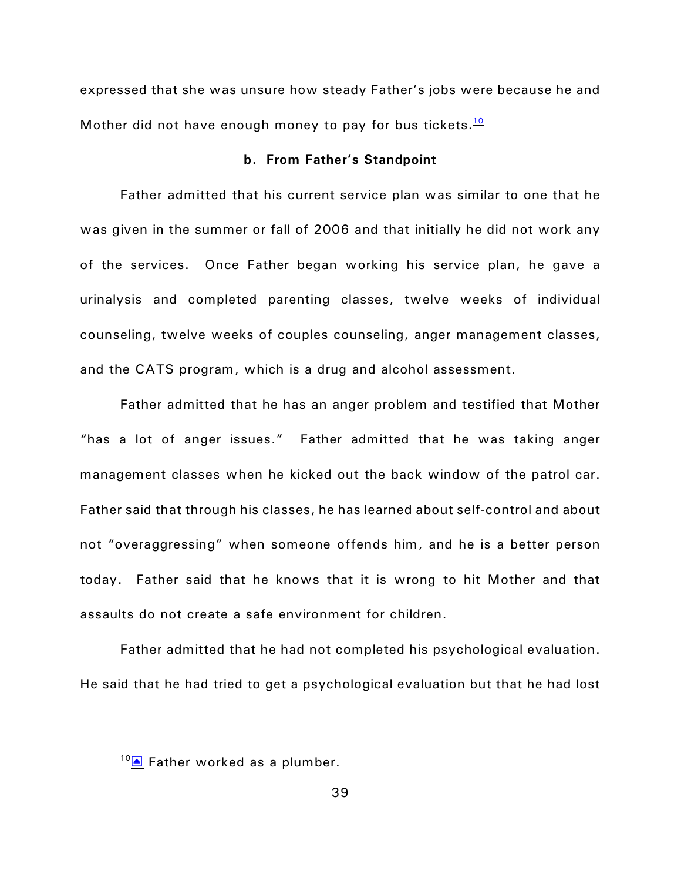expressed that she was unsure how steady Father's jobs were because he and Mother did not have enough money to pay for bus tickets. $\frac{10}{10}$  $\frac{10}{10}$  $\frac{10}{10}$ 

### <span id="page-38-0"></span>**b. From Father's Standpoint**

Father admitted that his current service plan was similar to one that he was given in the summer or fall of 2006 and that initially he did not work any of the services. Once Father began working his service plan, he gave a urinalysis and completed parenting classes, twelve weeks of individual counseling, twelve weeks of couples counseling, anger management classes, and the CATS program, which is a drug and alcohol assessment.

Father admitted that he has an anger problem and testified that Mother "has a lot of anger issues." Father admitted that he was taking anger management classes when he kicked out the back window of the patrol car. Father said that through his classes, he has learned about self-control and about not "overaggressing" when someone offends him, and he is a better person today. Father said that he knows that it is wrong to hit Mother and that assaults do not create a safe environment for children.

Father admitted that he had not completed his psychological evaluation. He said that he had tried to get a psychological evaluation but that he had lost

<span id="page-38-1"></span> $10\blacksquare$  Father worked as a plumber.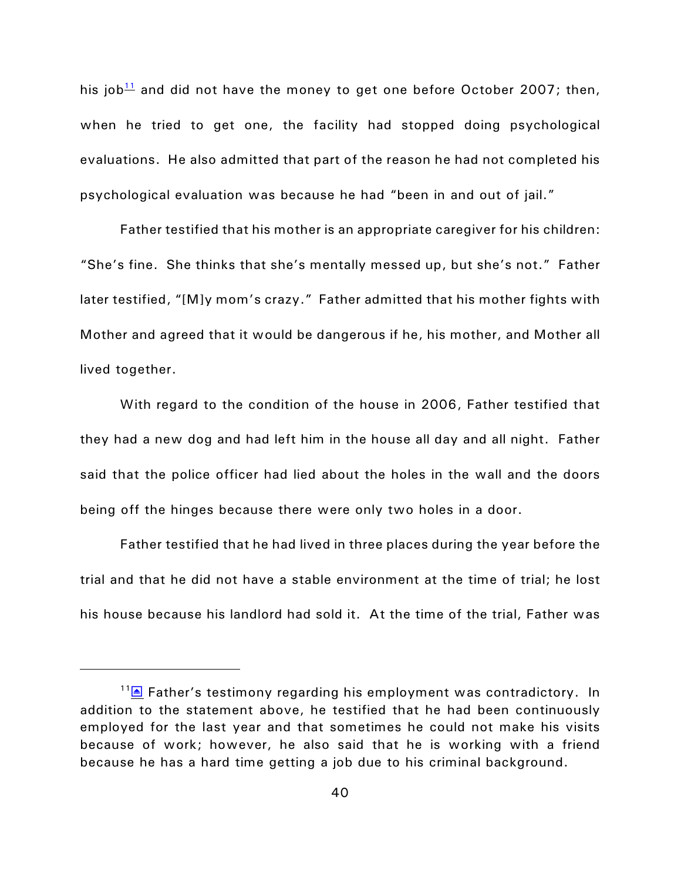<span id="page-39-0"></span>his job $11$  and did not have the money to get one before October 2007; then, when he tried to get one, the facility had stopped doing psychological evaluations. He also admitted that part of the reason he had not completed his psychological evaluation was because he had "been in and out of jail."

Father testified that his mother is an appropriate caregiver for his children: "She's fine. She thinks that she's mentally messed up, but she's not." Father later testified, "[M]y mom's crazy." Father admitted that his mother fights with Mother and agreed that it would be dangerous if he, his mother, and Mother all lived together.

With regard to the condition of the house in 2006, Father testified that they had a new dog and had left him in the house all day and all night. Father said that the police officer had lied about the holes in the wall and the doors being off the hinges because there were only two holes in a door.

Father testified that he had lived in three places during the year before the trial and that he did not have a stable environment at the time of trial; he lost his house because his landlord had sold it. At the time of the trial, Father was

<span id="page-39-1"></span> $11\text{E}$  Father's testimony regarding his employment was contradictory. In addition to the statement above, he testified that he had been continuously employed for the last year and that sometimes he could not make his visits because of work; however, he also said that he is working with a friend because he has a hard time getting a job due to his criminal background.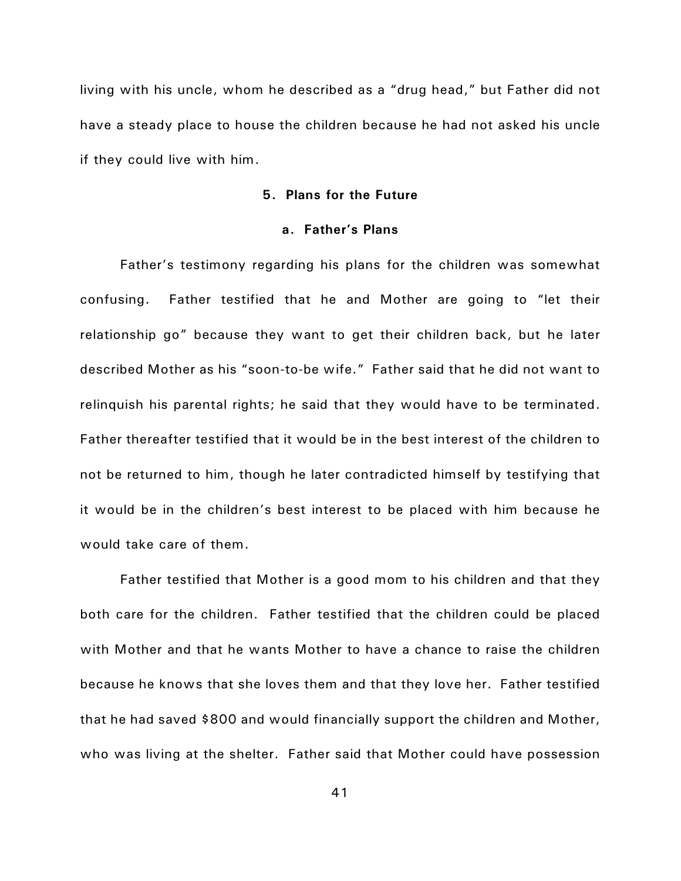living with his uncle, whom he described as a "drug head," but Father did not have a steady place to house the children because he had not asked his uncle if they could live with him.

## **5. Plans for the Future**

## **a. Father's Plans**

Father's testimony regarding his plans for the children was somewhat confusing. Father testified that he and Mother are going to "let their relationship go" because they want to get their children back, but he later described Mother as his "soon-to-be wife." Father said that he did not want to relinquish his parental rights; he said that they would have to be terminated. Father thereafter testified that it would be in the best interest of the children to not be returned to him, though he later contradicted himself by testifying that it would be in the children's best interest to be placed with him because he would take care of them.

Father testified that Mother is a good mom to his children and that they both care for the children. Father testified that the children could be placed with Mother and that he wants Mother to have a chance to raise the children because he knows that she loves them and that they love her. Father testified that he had saved \$800 and would financially support the children and Mother, who was living at the shelter. Father said that Mother could have possession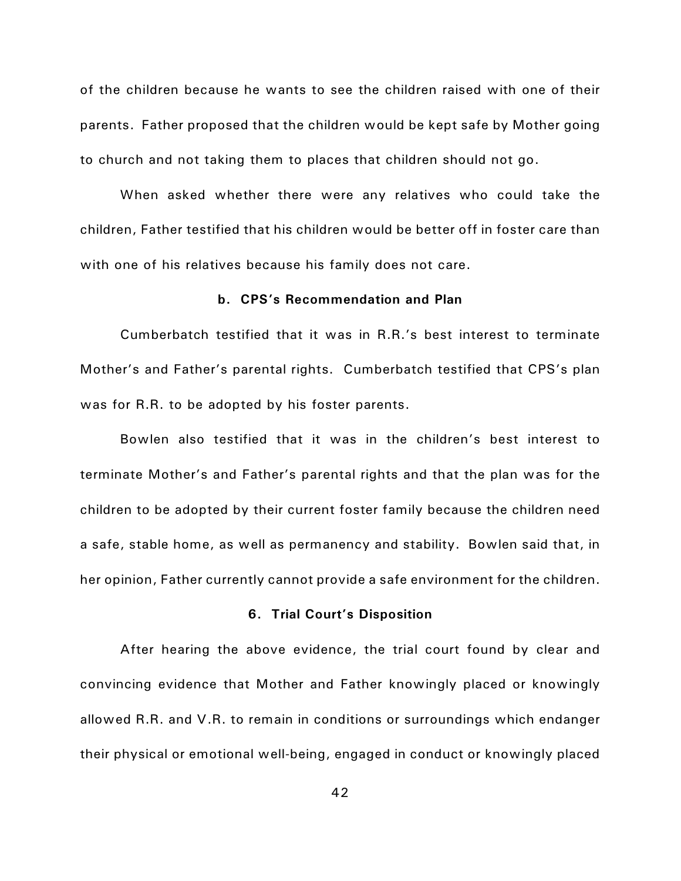of the children because he wants to see the children raised with one of their parents. Father proposed that the children would be kept safe by Mother going to church and not taking them to places that children should not go.

When asked whether there were any relatives who could take the children, Father testified that his children would be better off in foster care than with one of his relatives because his family does not care.

#### **b. CPS's Recommendation and Plan**

Cumberbatch testified that it was in R.R.'s best interest to terminate Mother's and Father's parental rights. Cumberbatch testified that CPS's plan was for R.R. to be adopted by his foster parents.

Bowlen also testified that it was in the children's best interest to terminate Mother's and Father's parental rights and that the plan was for the children to be adopted by their current foster family because the children need a safe, stable home, as well as permanency and stability. Bowlen said that, in her opinion, Father currently cannot provide a safe environment for the children.

#### **6. Trial Court's Disposition**

After hearing the above evidence, the trial court found by clear and convincing evidence that Mother and Father knowingly placed or knowingly allowed R.R. and V.R. to remain in conditions or surroundings which endanger their physical or emotional well-being, engaged in conduct or knowingly placed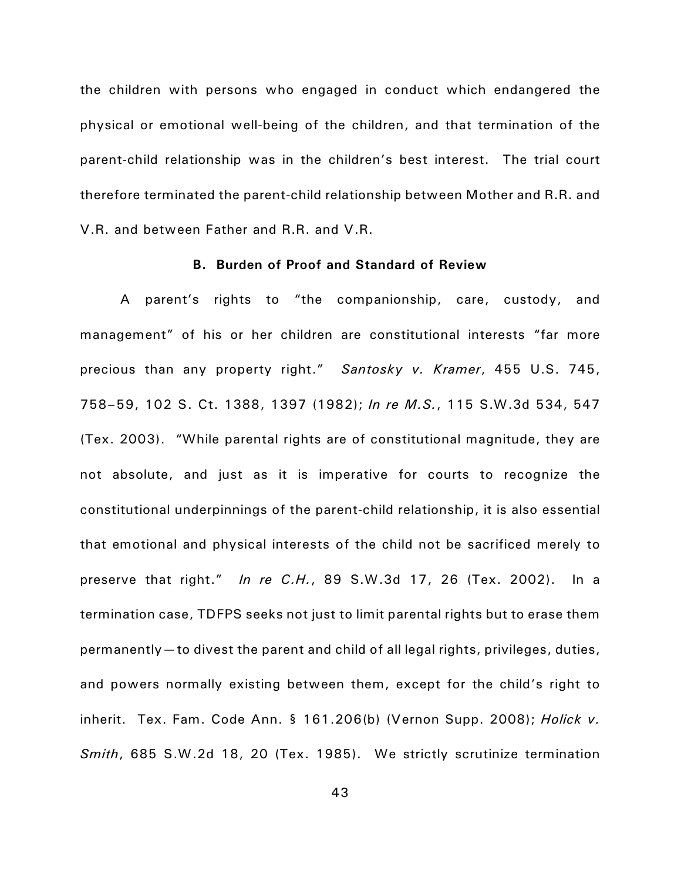the children with persons who engaged in conduct which endangered the physical or emotional well-being of the children, and that termination of the parent-child relationship was in the children's best interest. The trial court therefore terminated the parent-child relationship between Mother and R.R. and V.R. and between Father and R.R. and V.R.

# **B. Burden of Proof and Standard of Review**

A parent's rights to "the companionship, care, custody, and management" of his or her children are constitutional interests "far more precious than any property right." *Santosky v. Kramer*, 455 U.S. 745, 758–59, 102 S. Ct. 1388, 1397 (1982); *In re M.S.*, 115 S.W.3d 534, 547 (Tex. 2003). "While parental rights are of constitutional magnitude, they are not absolute, and just as it is imperative for courts to recognize the constitutional underpinnings of the parent-child relationship, it is also essential that emotional and physical interests of the child not be sacrificed merely to preserve that right." *In re C.H.*, 89 S.W.3d 17, 26 (Tex. 2002). In a termination case, TDFPS seeks not just to limit parental rights but to erase them permanently—to divest the parent and child of all legal rights, privileges, duties, and powers normally existing between them, except for the child's right to inherit. Tex. Fam. Code Ann. § 161.206(b) (Vernon Supp. 2008); *Holick v. Smith*, 685 S.W.2d 18, 20 (Tex. 1985). We strictly scrutinize termination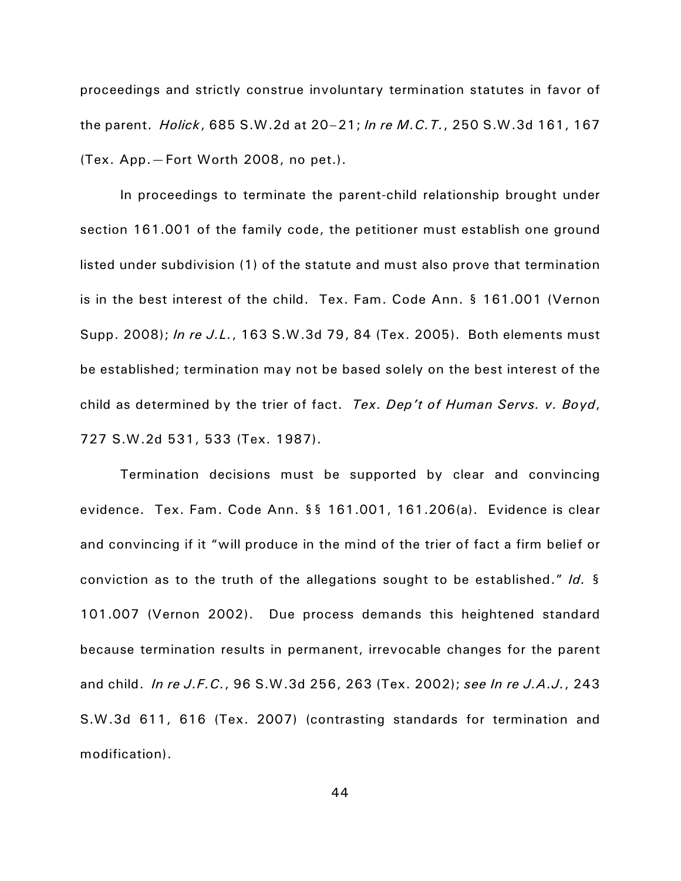proceedings and strictly construe involuntary termination statutes in favor of the parent. *Holick*, 685 S.W.2d at 20–21; *In re M.C.T.*, 250 S.W.3d 161, 167 (Tex. App.—Fort Worth 2008, no pet.).

In proceedings to terminate the parent-child relationship brought under section 161.001 of the family code, the petitioner must establish one ground listed under subdivision (1) of the statute and must also prove that termination is in the best interest of the child. Tex. Fam. Code Ann. § 161.001 (Vernon Supp. 2008); *In re J.L.*, 163 S.W.3d 79, 84 (Tex. 2005). Both elements must be established; termination may not be based solely on the best interest of the child as determined by the trier of fact. *Tex. Dep't of Human Servs. v. Boyd*, 727 S.W.2d 531, 533 (Tex. 1987).

Termination decisions must be supported by clear and convincing evidence. Tex. Fam. Code Ann. §§ 161.001, 161.206(a). Evidence is clear and convincing if it "will produce in the mind of the trier of fact a firm belief or conviction as to the truth of the allegations sought to be established." *Id.* § 101.007 (Vernon 2002). Due process demands this heightened standard because termination results in permanent, irrevocable changes for the parent and child. *In re J.F.C.*, 96 S.W.3d 256, 263 (Tex. 2002); *see In re J.A.J.*, 243 S.W.3d 611, 616 (Tex. 2007) (contrasting standards for termination and modification).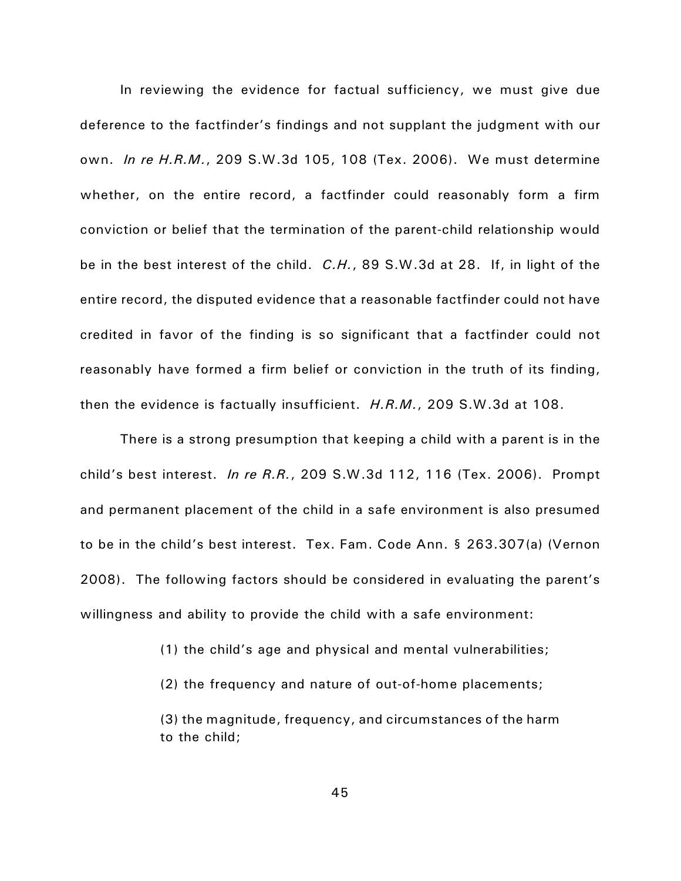In reviewing the evidence for factual sufficiency, we must give due deference to the factfinder's findings and not supplant the judgment with our own. *In re H.R.M.*, 209 S.W.3d 105, 108 (Tex. 2006). We must determine whether, on the entire record, a factfinder could reasonably form a firm conviction or belief that the termination of the parent-child relationship would be in the best interest of the child. *C.H.*, 89 S.W.3d at 28. If, in light of the entire record, the disputed evidence that a reasonable factfinder could not have credited in favor of the finding is so significant that a factfinder could not reasonably have formed a firm belief or conviction in the truth of its finding, then the evidence is factually insufficient. *H.R.M.*, 209 S.W.3d at 108.

There is a strong presumption that keeping a child with a parent is in the child's best interest. *In re R.R.*, 209 S.W.3d 112, 116 (Tex. 2006). Prompt and permanent placement of the child in a safe environment is also presumed to be in the child's best interest. Tex. Fam. Code Ann. § 263.307(a) (Vernon 2008). The following factors should be considered in evaluating the parent's willingness and ability to provide the child with a safe environment:

(1) the child's age and physical and mental vulnerabilities;

(2) the frequency and nature of out-of-home placements;

(3) the magnitude, frequency, and circumstances of the harm to the child;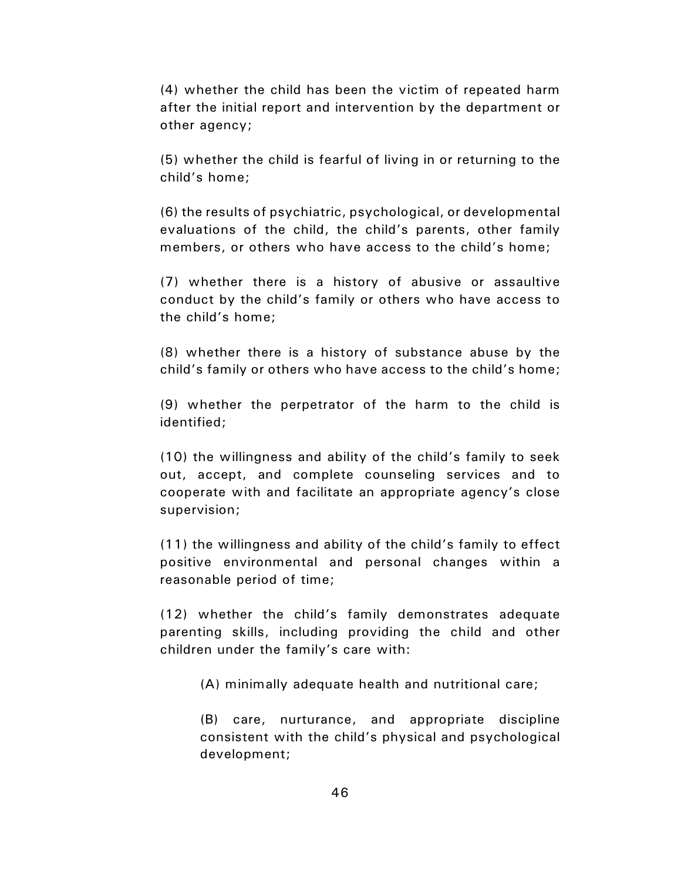(4) whether the child has been the victim of repeated harm after the initial report and intervention by the department or other agency;

(5) whether the child is fearful of living in or returning to the child's home;

(6) the results of psychiatric, psychological, or developmental evaluations of the child, the child's parents, other family members, or others who have access to the child's home;

(7) whether there is a history of abusive or assaultive conduct by the child's family or others who have access to the child's home;

(8) whether there is a history of substance abuse by the child's family or others who have access to the child's home;

(9) whether the perpetrator of the harm to the child is identified;

(10) the willingness and ability of the child's family to seek out, accept, and complete counseling services and to cooperate with and facilitate an appropriate agency's close supervision;

(11) the willingness and ability of the child's family to effect positive environmental and personal changes within a reasonable period of time;

(12) whether the child's family demonstrates adequate parenting skills, including providing the child and other children under the family's care with:

(A) minimally adequate health and nutritional care;

(B) care, nurturance, and appropriate discipline consistent with the child's physical and psychological development;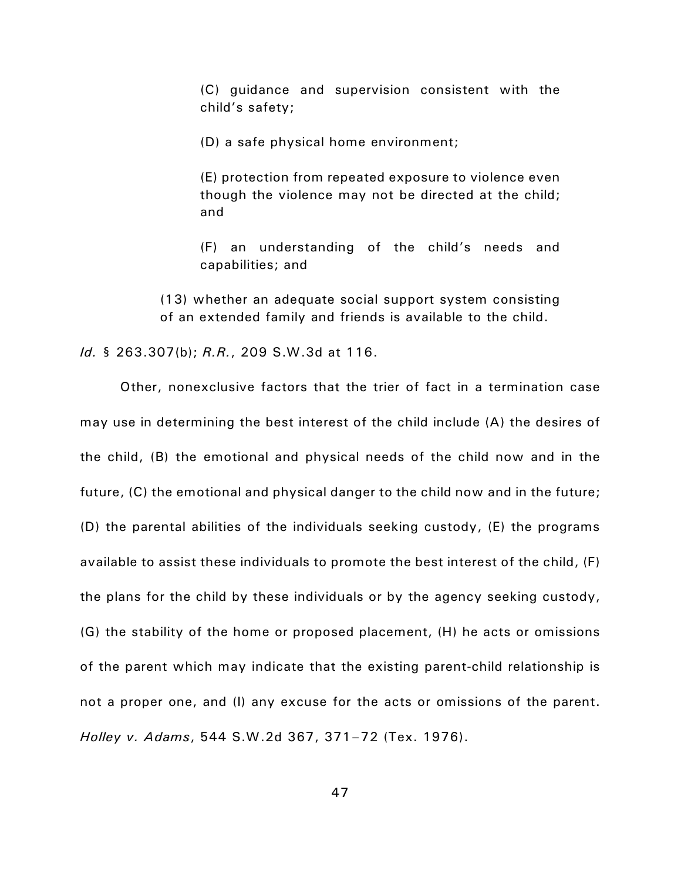(C) guidance and supervision consistent with the child's safety;

(D) a safe physical home environment;

(E) protection from repeated exposure to violence even though the violence may not be directed at the child; and

(F) an understanding of the child's needs and capabilities; and

(13) whether an adequate social support system consisting of an extended family and friends is available to the child.

*Id.* § 263.307(b); *R.R.*, 209 S.W.3d at 116.

Other, nonexclusive factors that the trier of fact in a termination case may use in determining the best interest of the child include (A) the desires of the child, (B) the emotional and physical needs of the child now and in the future, (C) the emotional and physical danger to the child now and in the future; (D) the parental abilities of the individuals seeking custody, (E) the programs available to assist these individuals to promote the best interest of the child, (F) the plans for the child by these individuals or by the agency seeking custody, (G) the stability of the home or proposed placement, (H) he acts or omissions of the parent which may indicate that the existing parent-child relationship is not a proper one, and (I) any excuse for the acts or omissions of the parent. *Holley v. Adams*, 544 S.W.2d 367, 371–72 (Tex. 1976).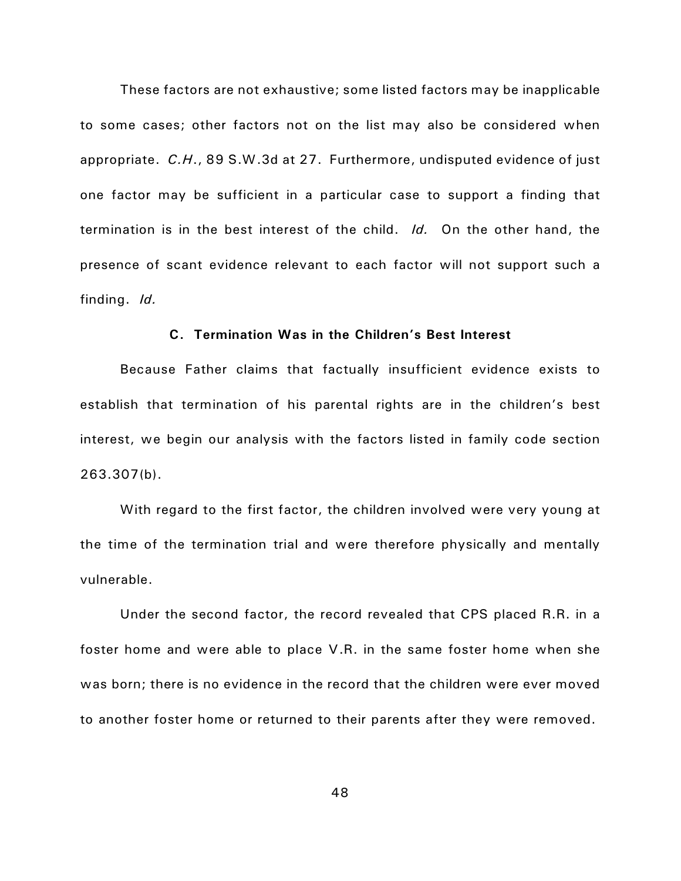These factors are not exhaustive; some listed factors may be inapplicable to some cases; other factors not on the list may also be considered when appropriate. *C.H*., 89 S.W.3d at 27. Furthermore, undisputed evidence of just one factor may be sufficient in a particular case to support a finding that termination is in the best interest of the child. *Id.* On the other hand, the presence of scant evidence relevant to each factor will not support such a finding. *Id.*

# **C. Termination Was in the Children's Best Interest**

Because Father claims that factually insufficient evidence exists to establish that termination of his parental rights are in the children's best interest, we begin our analysis with the factors listed in family code section 263.307(b).

With regard to the first factor, the children involved were very young at the time of the termination trial and were therefore physically and mentally vulnerable.

Under the second factor, the record revealed that CPS placed R.R. in a foster home and were able to place V.R. in the same foster home when she was born; there is no evidence in the record that the children were ever moved to another foster home or returned to their parents after they were removed.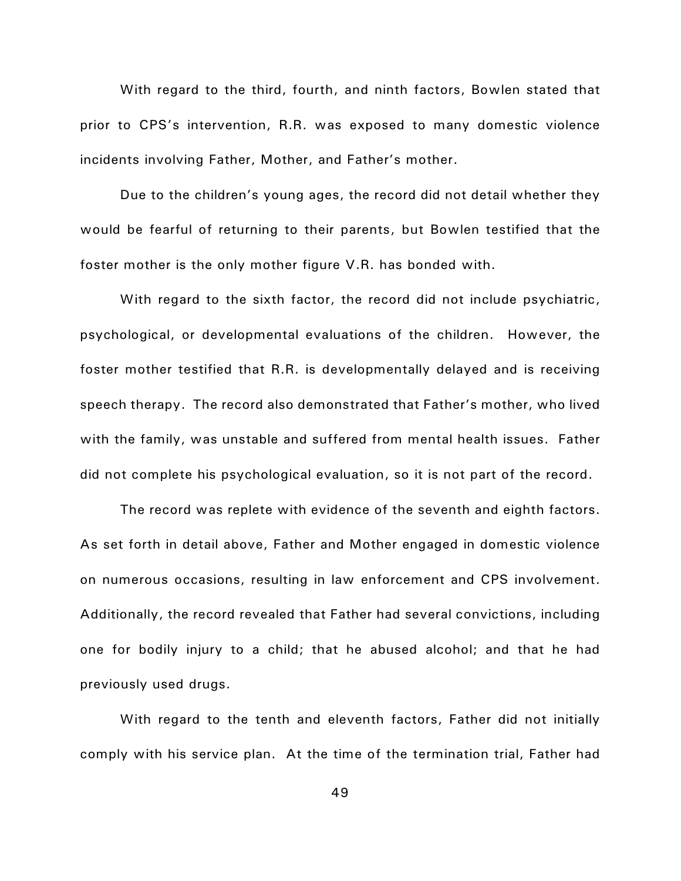With regard to the third, fourth, and ninth factors, Bowlen stated that prior to CPS's intervention, R.R. was exposed to many domestic violence incidents involving Father, Mother, and Father's mother.

Due to the children's young ages, the record did not detail whether they would be fearful of returning to their parents, but Bowlen testified that the foster mother is the only mother figure V.R. has bonded with.

With regard to the sixth factor, the record did not include psychiatric, psychological, or developmental evaluations of the children. However, the foster mother testified that R.R. is developmentally delayed and is receiving speech therapy. The record also demonstrated that Father's mother, who lived with the family, was unstable and suffered from mental health issues. Father did not complete his psychological evaluation, so it is not part of the record.

The record was replete with evidence of the seventh and eighth factors. As set forth in detail above, Father and Mother engaged in domestic violence on numerous occasions, resulting in law enforcement and CPS involvement. Additionally, the record revealed that Father had several convictions, including one for bodily injury to a child; that he abused alcohol; and that he had previously used drugs.

With regard to the tenth and eleventh factors, Father did not initially comply with his service plan. At the time of the termination trial, Father had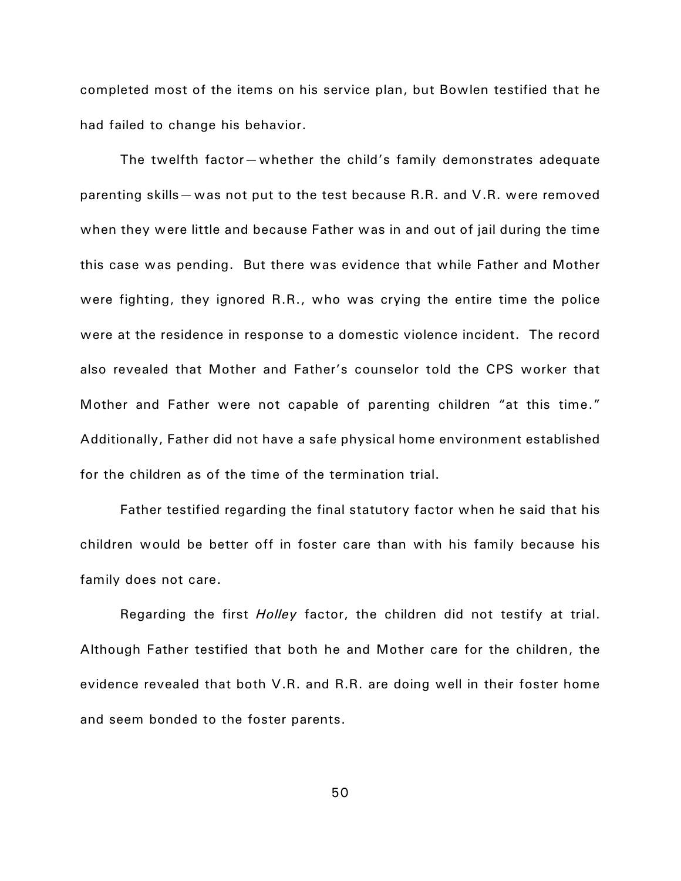completed most of the items on his service plan, but Bowlen testified that he had failed to change his behavior.

The twelfth factor—whether the child's family demonstrates adequate parenting skills—was not put to the test because R.R. and V.R. were removed when they were little and because Father was in and out of jail during the time this case was pending. But there was evidence that while Father and Mother were fighting, they ignored R.R., who was crying the entire time the police were at the residence in response to a domestic violence incident. The record also revealed that Mother and Father's counselor told the CPS worker that Mother and Father were not capable of parenting children "at this time." Additionally, Father did not have a safe physical home environment established for the children as of the time of the termination trial.

Father testified regarding the final statutory factor when he said that his children would be better off in foster care than with his family because his family does not care.

Regarding the first *Holley* factor, the children did not testify at trial. Although Father testified that both he and Mother care for the children, the evidence revealed that both V.R. and R.R. are doing well in their foster home and seem bonded to the foster parents.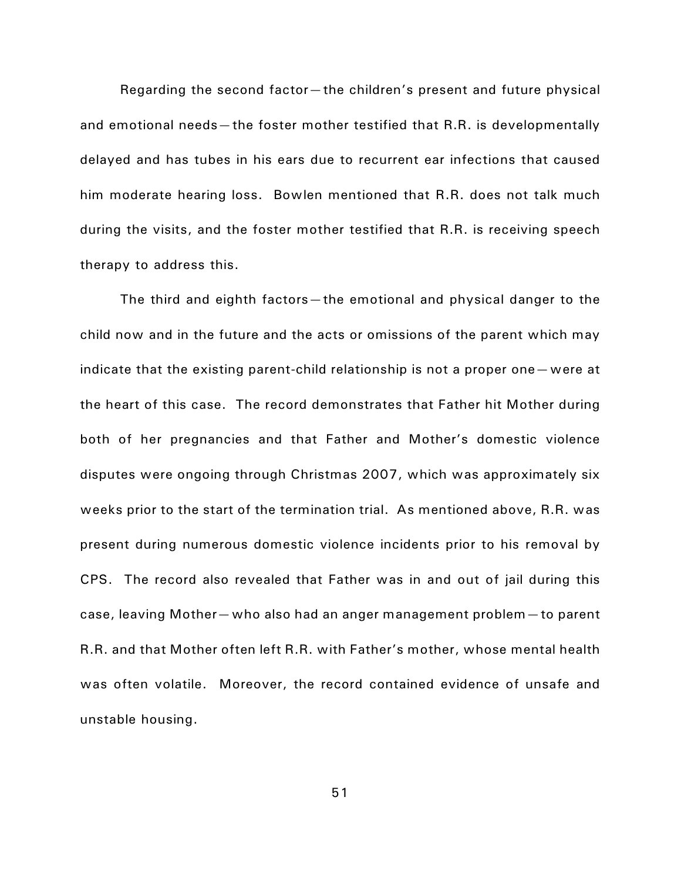Regarding the second factor—the children's present and future physical and emotional needs—the foster mother testified that R.R. is developmentally delayed and has tubes in his ears due to recurrent ear infections that caused him moderate hearing loss. Bowlen mentioned that R.R. does not talk much during the visits, and the foster mother testified that R.R. is receiving speech therapy to address this.

The third and eighth factors—the emotional and physical danger to the child now and in the future and the acts or omissions of the parent which may indicate that the existing parent-child relationship is not a proper one—were at the heart of this case. The record demonstrates that Father hit Mother during both of her pregnancies and that Father and Mother's domestic violence disputes were ongoing through Christmas 2007, which was approximately six weeks prior to the start of the termination trial. As mentioned above, R.R. was present during numerous domestic violence incidents prior to his removal by CPS. The record also revealed that Father was in and out of jail during this case, leaving Mother—who also had an anger management problem—to parent R.R. and that Mother often left R.R. with Father's mother, whose mental health was often volatile. Moreover, the record contained evidence of unsafe and unstable housing.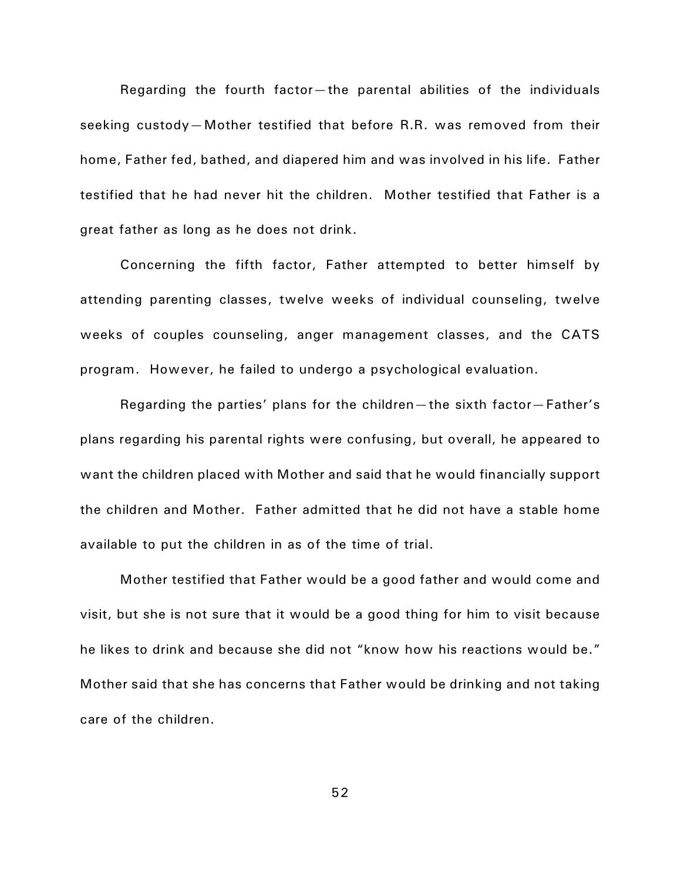Regarding the fourth factor—the parental abilities of the individuals seeking custody—Mother testified that before R.R. was removed from their home, Father fed, bathed, and diapered him and was involved in his life. Father testified that he had never hit the children. Mother testified that Father is a great father as long as he does not drink.

Concerning the fifth factor, Father attempted to better himself by attending parenting classes, twelve weeks of individual counseling, twelve weeks of couples counseling, anger management classes, and the CATS program. However, he failed to undergo a psychological evaluation.

Regarding the parties' plans for the children—the sixth factor—Father's plans regarding his parental rights were confusing, but overall, he appeared to want the children placed with Mother and said that he would financially support the children and Mother. Father admitted that he did not have a stable home available to put the children in as of the time of trial.

Mother testified that Father would be a good father and would come and visit, but she is not sure that it would be a good thing for him to visit because he likes to drink and because she did not "know how his reactions would be." Mother said that she has concerns that Father would be drinking and not taking care of the children.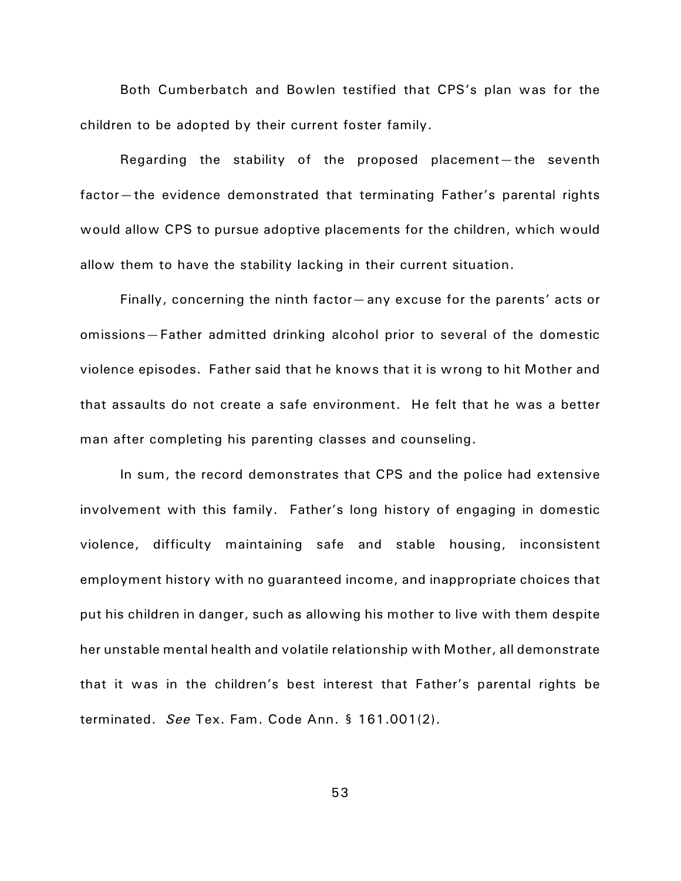Both Cumberbatch and Bowlen testified that CPS's plan was for the children to be adopted by their current foster family.

Regarding the stability of the proposed placement—the seventh factor—the evidence demonstrated that terminating Father's parental rights would allow CPS to pursue adoptive placements for the children, which would allow them to have the stability lacking in their current situation.

Finally, concerning the ninth factor—any excuse for the parents' acts or omissions—Father admitted drinking alcohol prior to several of the domestic violence episodes. Father said that he knows that it is wrong to hit Mother and that assaults do not create a safe environment. He felt that he was a better man after completing his parenting classes and counseling.

In sum, the record demonstrates that CPS and the police had extensive involvement with this family. Father's long history of engaging in domestic violence, difficulty maintaining safe and stable housing, inconsistent employment history with no guaranteed income, and inappropriate choices that put his children in danger, such as allowing his mother to live with them despite her unstable mental health and volatile relationship with Mother, all demonstrate that it was in the children's best interest that Father's parental rights be terminated. *See* Tex. Fam. Code Ann. § 161.001(2).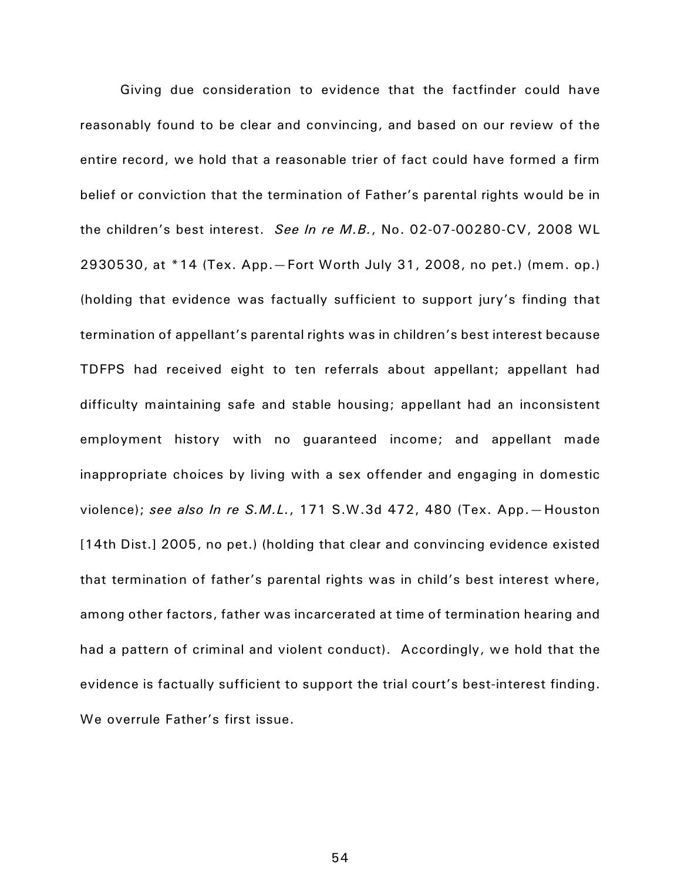Giving due consideration to evidence that the factfinder could have reasonably found to be clear and convincing, and based on our review of the entire record, we hold that a reasonable trier of fact could have formed a firm belief or conviction that the termination of Father's parental rights would be in the children's best interest. *See In re M.B.*, No. 02-07-00280-CV, 2008 WL 2930530, at \*14 (Tex. App.—Fort Worth July 31, 2008, no pet.) (mem. op.) (holding that evidence was factually sufficient to support jury's finding that termination of appellant's parental rights was in children's best interest because TDFPS had received eight to ten referrals about appellant; appellant had difficulty maintaining safe and stable housing; appellant had an inconsistent employment history with no guaranteed income; and appellant made inappropriate choices by living with a sex offender and engaging in domestic violence); *see also In re S.M.L.*, 171 S.W.3d 472, 480 (Tex. App.—Houston [14th Dist.] 2005, no pet.) (holding that clear and convincing evidence existed that termination of father's parental rights was in child's best interest where, among other factors, father was incarcerated at time of termination hearing and had a pattern of criminal and violent conduct). Accordingly, we hold that the evidence is factually sufficient to support the trial court's best-interest finding. We overrule Father's first issue.